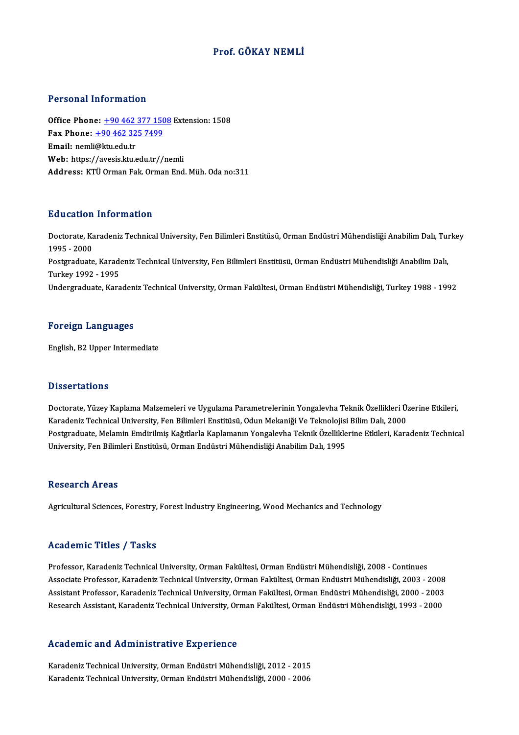### Prof. GÖKAY NEMLİ

#### Personal Information

Office Phone: +90 462 377 1508 Extension: 1508 Fax Phone: <u>+90 462 377 150</u><br>Fax Phone: <u>+90 462 325 7499</u><br>Fmail: namli@ltu.edu.tr Office Phone: <u>+90 462</u><br>Fax Phone: <u>+90 462 32</u><br>Email: nemli@ktu.edu.tr Email: nemli@ktu.edu.tr<br>Web: https:/[/avesis.ktu.edu.tr/](tel:+90 462 325 7499)[/ne](tel:+90 462 377 1508)mli Address: KTÜ Orman Fak. Orman End. Müh. Oda no:311

#### Education Information

**Education Information**<br>Doctorate, Karadeniz Technical University, Fen Bilimleri Enstitüsü, Orman Endüstri Mühendisliği Anabilim Dalı, Turkey<br>1995 - 2000 nd deutsch<br>1995 - 2000<br>Restanduate Doctorate, Karadeniz Technical University, Fen Bilimleri Enstitüsü, Orman Endüstri Mühendisliği Anabilim Dalı, Tui<br>1995 - 2000<br>Postgraduate, Karadeniz Technical University, Fen Bilimleri Enstitüsü, Orman Endüstri Mühendisl 1995 - 2000<br>Postgraduate, Karadeniz Technical University, Fen Bilimleri Enstitüsü, Orman Endüstri Mühendisliği Anabilim Dalı,<br>Turkey 1992 - 1995 Undergraduate, Karadeniz Technical University, Orman Fakültesi, Orman Endüstri Mühendisliği, Turkey 1988 - 1992

#### Foreign Languages

English,B2Upper Intermediate

#### **Dissertations**

Dissertations<br>Doctorate, Yüzey Kaplama Malzemeleri ve Uygulama Parametrelerinin Yongalevha Teknik Özellikleri Üzerine Etkileri,<br>Karadeniz Technical University, Een Bilimleri Enstitüsü, Odun Mekaniği Ve Teknelejisi Bilim De Basser tatroms<br>Doctorate, Yüzey Kaplama Malzemeleri ve Uygulama Parametrelerinin Yongalevha Teknik Özellikleri Ü:<br>Karadeniz Technical University, Fen Bilimleri Enstitüsü, Odun Mekaniği Ve Teknolojisi Bilim Dalı, 2000<br>Posts Karadeniz Technical University, Fen Bilimleri Enstitüsü, Odun Mekaniği Ve Teknolojisi Bilim Dalı, 2000<br>Postgraduate, Melamin Emdirilmiş Kağıtlarla Kaplamanın Yongalevha Teknik Özelliklerine Etkileri, Karadeniz Technical University, Fen Bilimleri Enstitüsü, Orman Endüstri Mühendisliği Anabilim Dalı, 1995

#### **Research Areas**

Agricultural Sciences, Forestry, Forest Industry Engineering, Wood Mechanics and Technology

#### Academic Titles / Tasks

Academic Titles / Tasks<br>Professor, Karadeniz Technical University, Orman Fakültesi, Orman Endüstri Mühendisliği, 2008 - Continues<br>Assesiste Brefessor, Karadeniz Technical University, Orman Eakültesi, Orman Endüstri Mühendi Associate Articus 7 Austis<br>Professor, Karadeniz Technical University, Orman Fakültesi, Orman Endüstri Mühendisliği, 2008 - Continues<br>Associate Professor, Karadeniz Technical University, Orman Fakültesi, Orman Endüstri Mühe Professor, Karadeniz Technical University, Orman Fakültesi, Orman Endüstri Mühendisliği, 2008 - Continues<br>Associate Professor, Karadeniz Technical University, Orman Fakültesi, Orman Endüstri Mühendisliği, 2003 - 2008<br>Assis Associate Professor, Karadeniz Technical University, Orman Fakültesi, Orman Endüstri Mühendisliği, 2003 - 2008<br>Assistant Professor, Karadeniz Technical University, Orman Fakültesi, Orman Endüstri Mühendisliği, 2000 - 2003<br>

#### Academic and Administrative Experience

A<mark>cademic and Administrative Experience</mark><br>Karadeniz Technical University, Orman Endüstri Mühendisliği, 2012 - 2015<br>Karadeniz Technical University, Orman Endüstri Mühendisliği, 2000, 2006 Karadeniz Technical University, Orman Endüstri Mühendisliği, 2012 - 2015<br>Karadeniz Technical University, Orman Endüstri Mühendisliği, 2000 - 2006<br>Karadeniz Technical University, Orman Endüstri Mühendisliği, 2000 - 2006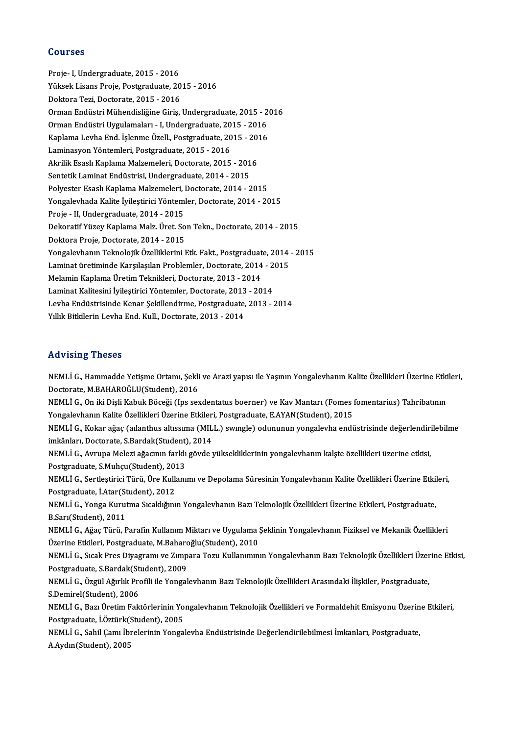#### Courses

Proje- I, Undergraduate, 2015 - 2016 Yüksek Lisans Proje, Postgraduate, 2015 - 2016 Doktora Tezi, Doctorate, 2015 - 2016 Yüksek Lisans Proje, Postgraduate, 2015 - 2016<br>Doktora Tezi, Doctorate, 2015 - 2016<br>Orman Endüstri Hugulamaları, J. Undergraduate, 2015 - 2016<br>Orman Endüstri Hugulamaları, J. Undergraduate, 2015 - 2016 Doktora Tezi, Doctorate, 2015 - 2016<br>Orman Endüstri Mühendisliğine Giriş, Undergraduate, 2015 - 2<br>Orman Endüstri Uygulamaları - I, Undergraduate, 2015 - 2016<br>Kanlama Lavbe End, İslamme Özell, Bostanaduate, 2015 - 2016 Orman Endüstri Mühendisliğine Giriş, Undergraduate, 2015 - 20<br>Orman Endüstri Uygulamaları - I, Undergraduate, 2015 - 2016<br>Kaplama Levha End. İşlenme Özell., Postgraduate, 2015 - 2016<br>Laminasyon Yöntemleri, Bestsraduate, 20 Orman Endüstri Uygulamaları - I, Undergraduate, 20<br>Kaplama Levha End. İşlenme Özell., Postgraduate, 20<br>Laminasyon Yöntemleri, Postgraduate, 2015 - 2016<br>Almilik Essel: Kaplama Malzamalari, Dostarata, 2015 Kaplama Levha End. İşlenme Özell., Postgraduate, 2015 - 20<br>Laminasyon Yöntemleri, Postgraduate, 2015 - 2016<br>Akrilik Esaslı Kaplama Malzemeleri, Doctorate, 2015 - 2016<br>Sentetik Laminat Endüstrisi, Undergraduate, 2014 - 2015 Laminasyon Yöntemleri, Postgraduate, 2015 - 2016<br>Akrilik Esaslı Kaplama Malzemeleri, Doctorate, 2015 - 2016<br>Sentetik Laminat Endüstrisi, Undergraduate, 2014 - 2015 Polyester Esaslı Kaplama Malzemeleri, Doctorate, 2014 - 2015 Yongalevhada Kalite İyileştirici Yöntemler, Doctorate, 2014 - 2015 Polyester Esaslı Kaplama Malzemeleri, İ<br>Yongalevhada Kalite İyileştirici Yöntem<br>Proje - II, Undergraduate, 2014 - 2015<br>Dekenatif Yüzev Kaplama Malz, Üret, So Dekoratif Yüzey Kaplama Malz. Üret. Son Tekn., Doctorate, 2014 - 2015<br>Doktora Proje, Doctorate, 2014 - 2015 Proje - II, Undergraduate, 2014 - 2015<br>Dekoratif Yüzey Kaplama Malz. Üret. So<br>Doktora Proje, Doctorate, 2014 - 2015<br>Yongalayhanın Talmalajik Özalliklerini I Dekoratif Yüzey Kaplama Malz. Üret. Son Tekn., Doctorate, 2014 - 2015<br>Doktora Proje, Doctorate, 2014 - 2015<br>Yongalevhanın Teknolojik Özelliklerini Etk. Fakt., Postgraduate, 2014 - 2015<br>Laminat üretiminde Karsılasılan Brehl Doktora Proje, Doctorate, 2014 - 2015<br>Yongalevhanın Teknolojik Özelliklerini Etk. Fakt., Postgraduate, 2014<br>Laminat üretiminde Karşılaşılan Problemler, Doctorate, 2014 - 2015<br>Melamin Kanlama Üretim Teknikleri, Doctorate, 2 Yongalevhanın Teknolojik Özelliklerini Etk. Fakt., Postgraduat<br>Laminat üretiminde Karşılaşılan Problemler, Doctorate, 2014<br>Melamin Kaplama Üretim Teknikleri, Doctorate, 2013 - 2014<br>Laminat Kalitesini İvilestirisi Yöntemler Laminat üretiminde Karşılaşılan Problemler, Doctorate, 2014 - 2<br>Melamin Kaplama Üretim Teknikleri, Doctorate, 2013 - 2014<br>Laminat Kalitesini İyileştirici Yöntemler, Doctorate, 2013 - 2014<br>Lavha Endüstrisinde Kapar Sakillan Melamin Kaplama Üretim Teknikleri, Doctorate, 2013 - 2014<br>Laminat Kalitesini İyileştirici Yöntemler, Doctorate, 2013 - 2014<br>Levha Endüstrisinde Kenar Şekillendirme, Postgraduate, 2013 - 2014<br>Vilik Bitkilerin Levha End. Kul Laminat Kalitesini İyileştirici Yöntemler, Doctorate, 2013<br>Levha Endüstrisinde Kenar Şekillendirme, Postgraduate,<br>Yıllık Bitkilerin Levha End. Kull., Doctorate, 2013 - 2014 Yıllık Bitkilerin Levha End. Kull., Doctorate, 2013 - 2014<br>Advising Theses

Advising Theses<br>NEMLİ G., Hammadde Yetişme Ortamı, Şekli ve Arazi yapısı ile Yaşının Yongalevhanın Kalite Özellikleri Üzerine Etkileri,<br>Destarata MRAHAROČLU(Student), 2016 rra vierny<br>1989 – NEMLI G., Hammadde Yetişme Ortamı, Şekli<br>Doctorate, M.BAHAROĞLU(Student), 2016<br>NEMLI G. On iki Disli Kabuk Bössği (İns.set NEMLİ G., Hammadde Yetişme Ortamı, Şekli ve Arazi yapısı ile Yaşının Yongalevhanın Kalite Özellikleri Üzerine Etki<br>Doctorate, M.BAHAROĞLU(Student), 2016<br>NEMLİ G., On iki Dişli Kabuk Böceği (Ips sexdentatus boerner) ve Kav

Doctorate, M.BAHAROĞLU(Student), 2016<br>NEMLİ G., On iki Dişli Kabuk Böceği (Ips sexdentatus boerner) ve Kav Mantarı (Fomes i<br>Yongalevhanın Kalite Özellikleri Üzerine Etkileri, Postgraduate, E.AYAN(Student), 2015<br>NEMLİ G. Ko NEMLİ G., On iki Dişli Kabuk Böceği (Ips sexdentatus boerner) ve Kav Mantarı (Fomes fomentarius) Tahribatının<br>Yongalevhanın Kalite Özellikleri Üzerine Etkileri, Postgraduate, E.AYAN(Student), 2015<br>NEMLİ G., Kokar ağaç (aıl

Yongalevhanın Kalite Özellikleri Üzerine Etkiler<br>NEMLİ G., Kokar ağaç (aılanthus altıssıma (MIL<br>imkânları, Doctorate, S.Bardak(Student), 2014<br>NEMLİ G. Ayruna Malari ağacının farklı göyde i NEMLİ G., Kokar ağaç (aılanthus altıssıma (MILL.) swıngle) odununun yongalevha endüstrisinde değerlendiri<br>imkânları, Doctorate, S.Bardak(Student), 2014<br>NEMLİ G., Avrupa Melezi ağacının farklı gövde yüksekliklerinin yongale

imkânları, Doctorate, S.Bardak(Student)<br>NEMLİ G., Avrupa Melezi ağacının farklı<br>Postgraduate, S.Muhçu(Student), 2013<br>NEMLİ C. Sortlestinisi Türü, Üre Kullanı NEMLİ G., Avrupa Melezi ağacının farklı gövde yüksekliklerinin yongalevhanın kalşte özellikleri üzerine etkisi,<br>Postgraduate, S.Muhçu(Student), 2013<br>NEMLİ G., Sertleştirici Türü, Üre Kullanımı ve Depolama Süresinin Yongale

Postgraduate, S.Muhçu(Student), 2013<br>NEMLİ G., Sertleştirici Türü, Üre Kulla<br>Postgraduate, İ.Atar(Student), 2012<br>NEMLİ C. Xonga Kunutma Staaklığını NEMLİ G., Sertleştirici Türü, Üre Kullanımı ve Depolama Süresinin Yongalevhanın Kalite Özellikleri Üzerine Etkil<br>Postgraduate, İ.Atar(Student), 2012<br>NEMLİ G., Yonga Kurutma Sıcaklığının Yongalevhanın Bazı Teknolojik Özelli

Postgraduate, İ.Atar(Student), 2012<br>NEMLİ G., Yonga Kurutma Sıcaklığının Yongalevhanın Bazı Teknolojik Özellikleri Üzerine Etkileri, Postgraduate,<br>B.Sarı(Student), 2011 NEMLİ G., Yonga Kurutma Sıcaklığının Yongalevhanın Bazı Teknolojik Özellikleri Üzerine Etkileri, Postgraduate,<br>B.Sarı(Student), 2011<br>NEMLİ G., Ağaç Türü, Parafin Kullanım Miktarı ve Uygulama Şeklinin Yongalevhanın Fiziksel

B.Sarı(Student), 2011<br>NEMLİ G., Ağaç Türü, Parafin Kullanım Miktarı ve Uygulama !<br>Üzerine Etkileri, Postgraduate, M.Baharoğlu(Student), 2010<br>NEMLİ G. Sısak Pres Divegramı ve Zimpara Teru Kullanımın NEMLİ G., Ağaç Türü, Parafin Kullanım Miktarı ve Uygulama Şeklinin Yongalevhanın Fiziksel ve Mekanik Özellikleri<br>Üzerine Etkileri, Postgraduate, M.Baharoğlu(Student), 2010<br>NEMLİ G., Sıcak Pres Diyagramı ve Zımpara Tozu Kul

Üzerine Etkileri, Postgraduate, M.Baharc<br>NEMLİ G., Sıcak Pres Diyagramı ve Zımp<br>Postgraduate, S.Bardak(Student), 2009<br>NEMLİ G., Özgül Ağırlık Prefili ile Yengel NEMLİ G., Sıcak Pres Diyagramı ve Zımpara Tozu Kullanımının Yongalevhanın Bazı Teknolojik Özellikleri Üzerine Etkisi,<br>Postgraduate, S.Bardak(Student), 2009<br>NEMLİ G., Özgül Ağırlık Profili ile Yongalevhanın Bazı Teknolojik

Postgraduate, S.Bardak(St<br>NEMLİ G., Özgül Ağırlık Pro<br>S.Demirel(Student), 2006<br>NEMLİ C., Barı Üratim Fala NEMLİ G., Özgül Ağırlık Profili ile Yongalevhanın Bazı Teknolojik Özellikleri Arasındaki İlişkiler, Postgraduate,<br>S.Demirel(Student), 2006<br>NEMLİ G., Bazı Üretim Faktörlerinin Yongalevhanın Teknolojik Özellikleri ve Formald

S.Demirel(Student), 2006<br>NEMLİ G., Bazı Üretim Faktörlerinin Yo<br>Postgraduate, İ.Öztürk(Student), 2005<br>NEMLİ G. Sabil Camı İbralarinin Yonga NEMLİ G., Bazı Üretim Faktörlerinin Yongalevhanın Teknolojik Özellikleri ve Formaldehit Emisyonu Üzerin<br>Postgraduate, İ.Öztürk(Student), 2005<br>NEMLİ G., Sahil Çamı İbrelerinin Yongalevha Endüstrisinde Değerlendirilebilmesi

Postgraduate, İ.Öztürk(Student), 2005<br>NEMLİ G., Sahil Çamı İbrelerinin Yongalevha Endüstrisinde Değerlendirilebilmesi İmkanları, Postgraduate,<br>A.Aydın(Student), 2005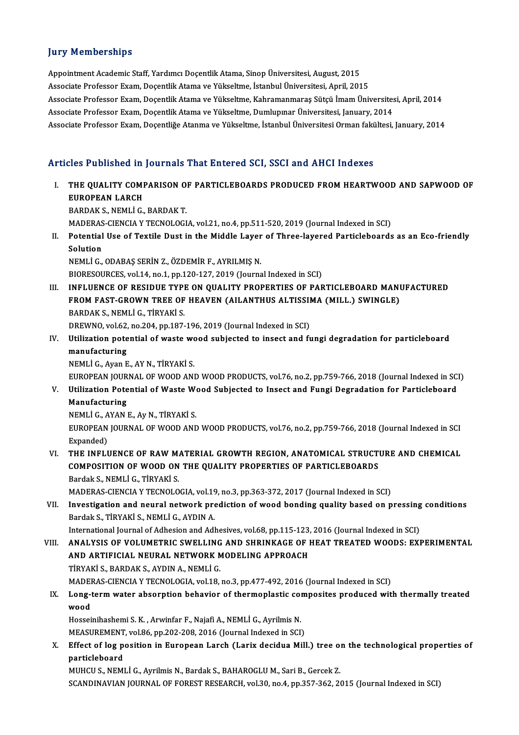### **Jury Memberships**

Appointment Academic Staff, Yardımcı Doçentlik Atama, Sinop Üniversitesi, August, 2015 Associate Professor Exam, Doçentlik Atama ve Yükseltme, İstanbul Üniversitesi, April, 2015 Appointment Academic Staff, Yardımcı Doçentlik Atama, Sinop Üniversitesi, August, 2015<br>Associate Professor Exam, Doçentlik Atama ve Yükseltme, İstanbul Üniversitesi, April, 2015<br>Associate Professor Exam, Doçentlik Atama ve Associate Professor Exam, Doçentlik Atama ve Yükseltme, İstanbul Üniversitesi, April, 2015<br>Associate Professor Exam, Doçentlik Atama ve Yükseltme, Kahramanmaraş Sütçü İmam Üniversites<br>Associate Professor Exam, Doçentlik At Associate Professor Exam, Doçentlik Atama ve Yükseltme, Kahramanmaraş Sütçü İmam Üniversitesi, April, 2014<br>Associate Professor Exam, Doçentlik Atama ve Yükseltme, Dumlupınar Üniversitesi, January, 2014<br>Associate Professor Associate Professor Exam, Doçentliğe Atanma ve Yükseltme, İstanbul Üniversitesi Orman fakültesi, January, 2014<br>Articles Published in Journals That Entered SCI, SSCI and AHCI Indexes

Tuicles Published in Journals That Entered SCI, SSCI and AHCI Indexes<br>I. THE QUALITY COMPARISON OF PARTICLEBOARDS PRODUCED FROM HEARTWOOD AND SAPWOOD OF THE QUALITY COMP<br>EUROPEAN LARCH<br>EUROPEAN LARCH THE QUALITY COMPARISON O<br>EUROPEAN LARCH<br>BARDAK S., NEMLÌ G., BARDAK T.<br>MADEPAS CIENCIA V TECNOLOCI

EUROPEAN LARCH<br>BARDAK S., NEMLI G., BARDAK T.<br>MADERAS-CIENCIA Y TECNOLOGIA, vol.21, no.4, pp.511-520, 2019 (Journal Indexed in SCI)<br>Petential Use of Taxtile Dust in the Middle Laver of Three lavered Bartislebeards BARDAK S., NEMLI G., BARDAK T.<br>MADERAS-CIENCIA Y TECNOLOGIA, vol.21, no.4, pp.511-520, 2019 (Journal Indexed in SCI)<br>II. Potential Use of Textile Dust in the Middle Layer of Three-layered Particleboards as an Eco-frien

MADERAS<br>Potential<br>Solution<br>NEMLİ C Potential Use of Textile Dust in the Middle Layer<br>Solution<br>NEMLİ G., ODABAŞ SERİN Z., ÖZDEMİR F., AYRILMIŞ N.<br>PIOPESOUPCES. vol.14. po.1. pp.120.127.2019 (Journe Solution<br>NEMLİ G., ODABAŞ SERİN Z., ÖZDEMİR F., AYRILMIŞ N.<br>BIORESOURCES, vol.14, no.1, pp.120-127, 2019 (Journal Indexed in SCI)

- III. INFLUENCE OF RESIDUE TYPE ON QUALITY PROPERTIES OF PARTICLEBOARD MANUFACTURED BIORESOURCES, vol.14, no.1, pp.120-127, 2019 (Journal Indexed in SCI)<br>INFLUENCE OF RESIDUE TYPE ON QUALITY PROPERTIES OF PARTICLEBOARD MANI<br>FROM FAST-GROWN TREE OF HEAVEN (AILANTHUS ALTISSIMA (MILL.) SWINGLE)<br>BARDAKS, NEML BARDAK S., NEMLİ G., TİRYAKİ S.<br>DREWNO, vol.62, no.204, pp.187-196, 2019 (Journal Indexed in SCI) FROM FAST-GROWN TREE OF HEAVEN (AILANTHUS ALTISSII<br>BARDAK S., NEMLI G., TIRYAKI S.<br>DREWNO, vol.62, no.204, pp.187-196, 2019 (Journal Indexed in SCI)<br>Hilligation notantial of wasta wood subjected to insect and fr BARDAK S., NEMLI G., TIRYAKI S.<br>DREWNO, vol.62, no.204, pp.187-196, 2019 (Journal Indexed in SCI)<br>IV. Utilization potential of waste wood subjected to insect and fungi degradation for particleboard<br>manufacturing
- DREWNO, vol.62,<br>Utilization pote<br>manufacturing<br>NEML<sup>i</sup>.C. Avon E Utilization potential of waste wo<br>manufacturing<br>NEMLİ G., Ayan E., AY N., TİRYAKİ S.<br>EUROPEAN JOUPNAL OE WOOD ANI manufacturing<br>NEMLİ G., Ayan E., AY N., TİRYAKİ S.<br>EUROPEAN JOURNAL OF WOOD AND WOOD PRODUCTS, vol.76, no.2, pp.759-766, 2018 (Journal Indexed in SCI)<br>Htiligation Petential of Waste Wood Subjected to Insect and Eungi Despe

NEMLİ G., Ayan E., AY N., TİRYAKİ S.<br>EUROPEAN JOURNAL OF WOOD AND WOOD PRODUCTS, vol.76, no.2, pp.759-766, 2018 (Journal Indexed in SC<br>V. Utilization Potential of Waste Wood Subjected to Insect and Fungi Degradation for Pa EUROPEAN JOUR<br>Utilization Pote<br>Manufacturing<br>NEMLI.C. AVAN Utilization Potential of Waste We<br>Manufacturing<br>NEMLİ G., AYAN E., Ay N., TİRYAKİ S.<br>FUROPEAN JOUPNAL OE WOOD AND

Manufacturing<br>NEMLİ G., AYAN E., Ay N., TİRYAKİ S.<br>EUROPEAN JOURNAL OF WOOD AND WOOD PRODUCTS, vol.76, no.2, pp.759-766, 2018 (Journal Indexed in SCI<br>Expanded) NEMLI G., A<br>EUROPEAN<br>Expanded)<br>THE INELL EUROPEAN JOURNAL OF WOOD AND WOOD PRODUCTS, vol.76, no.2, pp.759-766, 2018 (Journal Indexed in SCI<br>Expanded)<br>VI. THE INFLUENCE OF RAW MATERIAL GROWTH REGION, ANATOMICAL STRUCTURE AND CHEMICAL<br>COMPOSITION OF WOOD ON THE QUA

Expanded)<br>THE INFLUENCE OF RAW MATERIAL GROWTH REGION, ANATOMICAL STRUCTI<br>COMPOSITION OF WOOD ON THE QUALITY PROPERTIES OF PARTICLEBOARDS<br>Pardek S. NEMLİ.C. TİRYAKİ.S THE INFLUENCE OF RAW M.<br>COMPOSITION OF WOOD ON<br>Bardak S., NEMLİ G., TİRYAKİ S.<br>MADERAS CIENCIA V TECNOLO COMPOSITION OF WOOD ON THE QUALITY PROPERTIES OF PARTICLEBOARDS<br>Bardak S., NEMLI G., TIRYAKI S.<br>MADERAS-CIENCIA Y TECNOLOGIA, vol.19, no.3, pp.363-372, 2017 (Journal Indexed in SCI)<br>Investigation and neuvel network prodict

Bardak S., NEMLI G., TIRYAKI S.<br>MADERAS-CIENCIA Y TECNOLOGIA, vol.19, no.3, pp.363-372, 2017 (Journal Indexed in SCI)<br>VII. Investigation and neural network prediction of wood bonding quality based on pressing conditions<br>Ba MADERAS-CIENCIA Y TECNOLOGIA, vol.19<br>Investigation and neural network pre<br>Bardak S., TİRYAKİ S., NEMLİ G., AYDIN A.

International Journal of Adhesion and Adhesives, vol.68, pp.115-123, 2016 (Journal Indexed in SCI)

VIII. ANALYSIS OF VOLUMETRIC SWELLING AND SHRINKAGE OF HEAT TREATED WOODS: EXPERIMENTAL International Journal of Adhesion and Adhesives, vol.68, pp.115-123,<br>ANALYSIS OF VOLUMETRIC SWELLING AND SHRINKAGE OF I<br>AND ARTIFICIAL NEURAL NETWORK MODELING APPROACH<br>T<sup>invaki</sup> S. BAPDAK S. AVDINA, NEML<sup>I</sup>.C ANALYSIS OF VOLUMETRIC SWELLING<br>AND ARTIFICIAL NEURAL NETWORK N<br>TİRYAKİ S., BARDAK S., AYDIN A., NEMLİ G.<br>MADERAS CIENCIA V.TECNOLOCIA YOL18 AND ARTIFICIAL NEURAL NETWORK MODELING APPROACH<br>TİRYAKİ S., BARDAK S., AYDIN A., NEMLİ G.<br>MADERAS-CIENCIA Y TECNOLOGIA, vol.18, no.3, pp.477-492, 2016 (Journal Indexed in SCI)<br>Long term water absorption behavior of thermon

### TİRYAKİ S., BARDAK S., AYDIN A., NEMLİ G.<br>MADERAS-CIENCIA Y TECNOLOGIA, vol.18, no.3, pp.477-492, 2016 (Journal Indexed in SCI)<br>IX. Long-term water absorption behavior of thermoplastic composites produced with thermall MADE<br>Long-t<br>wood<br>Hossei Long-term water absorption behavior of thermoplastic com<br>Wood<br>Hosseinihashemi S.K. , Arwinfar F., Najafi A., NEMLİ G., Ayrilmis N.<br>MEASUREMENT vol 96 nn 202 209 2016 (Journal Indoved in SCE

wood<br>Hosseinihashemi S. K. , Arwinfar F., Najafi A., NEMLİ G., Ayrilmis N.<br>MEASUREMENT, vol.86, pp.202-208, 2016 (Journal Indexed in SCI)

Hosseinihashemi S. K. , Arwinfar F., Najafi A., NEMLİ G., Ayrilmis N.<br>MEASUREMENT, vol.86, pp.202-208, 2016 (Journal Indexed in SCI)<br>X. Effect of log position in European Larch (Larix decidua Mill.) tree on the technologic MEASUREMENT<br>Effect of log p<br>particleboard<br>MURCUS NEMI Effect of log position in European Larch (Larix decidua Mill.) tree of<br>particleboard<br>MUHCU S., NEMLİ G., Ayrilmis N., Bardak S., BAHAROGLU M., Sari B., Gercek Z.<br>SCANDINAVIAN JOURNAL OF FOREST RESEARCH .vol 30 no.4 nn 357

particleboard<br>MUHCU S., NEMLİ G., Ayrilmis N., Bardak S., BAHAROGLU M., Sari B., Gercek Z.<br>SCANDINAVIAN JOURNAL OF FOREST RESEARCH, vol.30, no.4, pp.357-362, 2015 (Journal Indexed in SCI)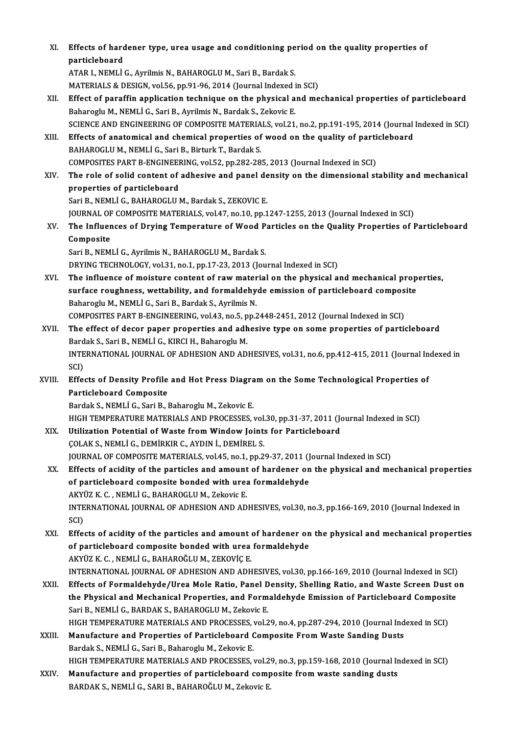| XI.    | Effects of hardener type, urea usage and conditioning period on the quality properties of<br>particleboard                                                                                    |
|--------|-----------------------------------------------------------------------------------------------------------------------------------------------------------------------------------------------|
|        | ATAR I., NEMLİ G., Ayrilmis N., BAHAROGLU M., Sari B., Bardak S.                                                                                                                              |
|        | MATERIALS & DESIGN, vol.56, pp.91-96, 2014 (Journal Indexed in SCI)                                                                                                                           |
| XII.   | Effect of paraffin application technique on the physical and mechanical properties of particleboard                                                                                           |
|        | Baharoglu M., NEMLİ G., Sari B., Ayrilmis N., Bardak S., Zekovic E.                                                                                                                           |
|        | SCIENCE AND ENGINEERING OF COMPOSITE MATERIALS, vol.21, no.2, pp.191-195, 2014 (Journal Indexed in SCI)                                                                                       |
| XIII.  | Effects of anatomical and chemical properties of wood on the quality of particleboard                                                                                                         |
|        | BAHAROGLU M., NEMLİ G., Sari B., Birturk T., Bardak S.                                                                                                                                        |
| XIV.   | COMPOSITES PART B-ENGINEERING, vol.52, pp.282-285, 2013 (Journal Indexed in SCI)<br>The role of solid content of adhesive and panel density on the dimensional stability and mechanical       |
|        | properties of particleboard                                                                                                                                                                   |
|        | Sari B., NEMLİ G., BAHAROGLU M., Bardak S., ZEKOVIC E.                                                                                                                                        |
|        | JOURNAL OF COMPOSITE MATERIALS, vol.47, no.10, pp.1247-1255, 2013 (Journal Indexed in SCI)                                                                                                    |
| XV.    | The Influences of Drying Temperature of Wood Particles on the Quality Properties of Particleboard                                                                                             |
|        | Composite                                                                                                                                                                                     |
|        | Sari B., NEMLI G., Ayrilmis N., BAHAROGLU M., Bardak S.                                                                                                                                       |
|        | DRYING TECHNOLOGY, vol.31, no.1, pp.17-23, 2013 (Journal Indexed in SCI)                                                                                                                      |
| XVI.   | The influence of moisture content of raw material on the physical and mechanical properties,                                                                                                  |
|        | surface roughness, wettability, and formaldehyde emission of particleboard composite                                                                                                          |
|        | Baharoglu M., NEMLİ G., Sari B., Bardak S., Ayrilmis N.                                                                                                                                       |
|        | COMPOSITES PART B-ENGINEERING, vol.43, no.5, pp.2448-2451, 2012 (Journal Indexed in SCI)                                                                                                      |
| XVII.  | The effect of decor paper properties and adhesive type on some properties of particleboard<br>Bardak S., Sari B., NEMLİ G., KIRCI H., Baharoglu M.                                            |
|        | INTERNATIONAL JOURNAL OF ADHESION AND ADHESIVES, vol.31, no.6, pp.412-415, 2011 (Journal Indexed in                                                                                           |
|        | SCI)                                                                                                                                                                                          |
| XVIII. | Effects of Density Profile and Hot Press Diagram on the Some Technological Properties of                                                                                                      |
|        | <b>Particleboard Composite</b>                                                                                                                                                                |
|        | Bardak S., NEMLI G., Sari B., Baharoglu M., Zekovic E.                                                                                                                                        |
|        | HIGH TEMPERATURE MATERIALS AND PROCESSES, vol.30, pp.31-37, 2011 (Journal Indexed in SCI)                                                                                                     |
| XIX.   | Utilization Potential of Waste from Window Joints for Particleboard                                                                                                                           |
|        | COLAK S., NEMLI G., DEMIRKIR C., AYDIN İ., DEMIREL S.                                                                                                                                         |
| XX.    | JOURNAL OF COMPOSITE MATERIALS, vol.45, no.1, pp.29-37, 2011 (Journal Indexed in SCI)<br>Effects of acidity of the particles and amount of hardener on the physical and mechanical properties |
|        | of particleboard composite bonded with urea formaldehyde                                                                                                                                      |
|        | AKYÜZ K. C., NEMLİ G., BAHAROGLU M., Zekovic E.                                                                                                                                               |
|        | INTERNATIONAL JOURNAL OF ADHESION AND ADHESIVES, vol.30, no.3, pp.166-169, 2010 (Journal Indexed in                                                                                           |
|        | SCI)                                                                                                                                                                                          |
| XXI.   | Effects of acidity of the particles and amount of hardener on the physical and mechanical properties                                                                                          |
|        | of particleboard composite bonded with urea formaldehyde                                                                                                                                      |
|        | AKYÜZ K. C., NEMLİ G., BAHAROĞLU M., ZEKOVİÇ E.                                                                                                                                               |
|        | INTERNATIONAL JOURNAL OF ADHESION AND ADHESIVES, vol.30, pp.166-169, 2010 (Journal Indexed in SCI)                                                                                            |
| XXII.  | Effects of Formaldehyde/Urea Mole Ratio, Panel Density, Shelling Ratio, and Waste Screen Dust on                                                                                              |
|        | the Physical and Mechanical Properties, and Formaldehyde Emission of Particleboard Composite                                                                                                  |
|        | Sari B., NEMLİ G., BARDAK S., BAHAROGLU M., Zekovic E.<br>HIGH TEMPERATURE MATERIALS AND PROCESSES, vol.29, no.4, pp.287-294, 2010 (Journal Indexed in SCI)                                   |
| XXIII. | Manufacture and Properties of Particleboard Composite From Waste Sanding Dusts                                                                                                                |
|        | Bardak S., NEMLİ G., Sari B., Baharoglu M., Zekovic E.                                                                                                                                        |
|        | HIGH TEMPERATURE MATERIALS AND PROCESSES, vol.29, no.3, pp.159-168, 2010 (Journal Indexed in SCI)                                                                                             |
| XXIV.  | Manufacture and properties of particleboard composite from waste sanding dusts                                                                                                                |
|        | BARDAK S., NEMLİ G., SARI B., BAHAROĞLU M., Zekovic E.                                                                                                                                        |
|        |                                                                                                                                                                                               |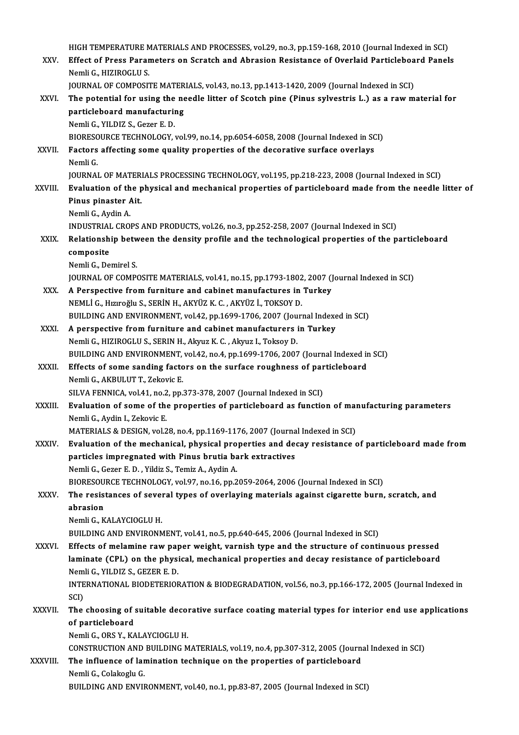|                | HIGH TEMPERATURE MATERIALS AND PROCESSES, vol.29, no.3, pp.159-168, 2010 (Journal Indexed in SCI)                               |
|----------------|---------------------------------------------------------------------------------------------------------------------------------|
| XXV.           | Effect of Press Parameters on Scratch and Abrasion Resistance of Overlaid Particleboard Panels<br>Nemli G., HIZIROGLU S.        |
|                | JOURNAL OF COMPOSITE MATERIALS, vol.43, no.13, pp.1413-1420, 2009 (Journal Indexed in SCI)                                      |
| XXVI.          | The potential for using the needle litter of Scotch pine (Pinus sylvestris L.) as a raw material for                            |
|                | particleboard manufacturing                                                                                                     |
|                | Nemli G., YILDIZ S., Gezer E.D.                                                                                                 |
|                | BIORESOURCE TECHNOLOGY, vol.99, no.14, pp.6054-6058, 2008 (Journal Indexed in SCI)                                              |
| XXVII.         | Factors affecting some quality properties of the decorative surface overlays                                                    |
|                | Nemli G.                                                                                                                        |
|                | JOURNAL OF MATERIALS PROCESSING TECHNOLOGY, vol.195, pp.218-223, 2008 (Journal Indexed in SCI)                                  |
| <b>XXVIII</b>  | Evaluation of the physical and mechanical properties of particleboard made from the needle litter of<br>Pinus pinaster Ait.     |
|                | Nemli G., Aydin A.                                                                                                              |
|                | INDUSTRIAL CROPS AND PRODUCTS, vol.26, no.3, pp.252-258, 2007 (Journal Indexed in SCI)                                          |
| XXIX.          | Relationship between the density profile and the technological properties of the particleboard                                  |
|                | composite                                                                                                                       |
|                | Nemli G, Demirel S                                                                                                              |
|                | JOURNAL OF COMPOSITE MATERIALS, vol.41, no.15, pp.1793-1802, 2007 (Journal Indexed in SCI)                                      |
| XXX.           | A Perspective from furniture and cabinet manufactures in Turkey                                                                 |
|                | NEMLİ G., Hızıroğlu S., SERİN H., AKYÜZ K. C., AKYÜZ İ., TOKSOY D.                                                              |
|                | BUILDING AND ENVIRONMENT, vol.42, pp.1699-1706, 2007 (Journal Indexed in SCI)                                                   |
| XXXI.          | A perspective from furniture and cabinet manufacturers in Turkey                                                                |
|                | Nemli G., HIZIROGLU S., SERIN H., Akyuz K. C., Akyuz I., Toksoy D.                                                              |
|                | BUILDING AND ENVIRONMENT, vol.42, no.4, pp.1699-1706, 2007 (Journal Indexed in SCI)                                             |
| XXXII.         | Effects of some sanding factors on the surface roughness of particleboard                                                       |
|                | Nemli G., AKBULUT T., Zekovic E.                                                                                                |
|                | SILVA FENNICA, vol.41, no.2, pp.373-378, 2007 (Journal Indexed in SCI)                                                          |
| <b>XXXIII.</b> | Evaluation of some of the properties of particleboard as function of manufacturing parameters<br>Nemli G., Aydin I., Zekovic E. |
|                | MATERIALS & DESIGN, vol.28, no.4, pp.1169-1176, 2007 (Journal Indexed in SCI)                                                   |
| XXXIV.         | Evaluation of the mechanical, physical properties and decay resistance of particleboard made from                               |
|                | particles impregnated with Pinus brutia bark extractives                                                                        |
|                | Nemli G., Gezer E. D., Yildiz S., Temiz A., Aydin A.                                                                            |
|                | BIORESOURCE TECHNOLOGY, vol.97, no.16, pp.2059-2064, 2006 (Journal Indexed in SCI)                                              |
| XXXV.          | The resistances of several types of overlaying materials against cigarette burn, scratch, and                                   |
|                | abrasion                                                                                                                        |
|                | Nemli G., KALAYCIOGLU H.                                                                                                        |
|                | BUILDING AND ENVIRONMENT, vol.41, no.5, pp.640-645, 2006 (Journal Indexed in SCI)                                               |
| <b>XXXVI</b>   | Effects of melamine raw paper weight, varnish type and the structure of continuous pressed                                      |
|                | laminate (CPL) on the physical, mechanical properties and decay resistance of particleboard                                     |
|                | Nemli G., YILDIZ S., GEZER E. D.                                                                                                |
|                | INTERNATIONAL BIODETERIORATION & BIODEGRADATION, vol.56, no.3, pp.166-172, 2005 (Journal Indexed in                             |
|                | SCI)                                                                                                                            |
| XXXVII.        | The choosing of suitable decorative surface coating material types for interior end use applications                            |
|                | of particleboard                                                                                                                |
|                | Nemli G., ORS Y., KALAYCIOGLU H.                                                                                                |
|                | CONSTRUCTION AND BUILDING MATERIALS, vol.19, no.4, pp.307-312, 2005 (Journal Indexed in SCI)                                    |
| XXXVIII.       | The influence of lamination technique on the properties of particleboard                                                        |
|                | Nemli G., Colakoglu G.<br>BUILDING AND ENVIRONMENT, vol.40, no.1, pp.83-87, 2005 (Journal Indexed in SCI)                       |
|                |                                                                                                                                 |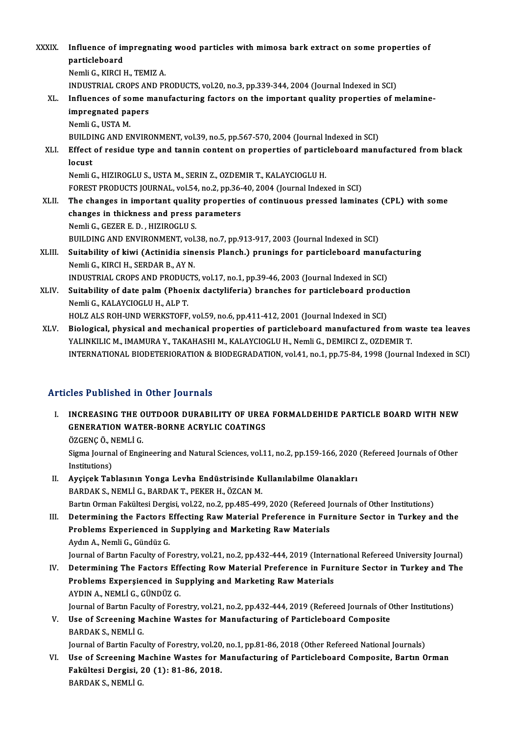- XXXIX. Influence of impregnating wood particles with mimosa bark extract on some properties of **Influence of in**<br>particleboard<br>Nemli C. KIRCLI particleboard<br>Nemli G., KIRCI H., TEMIZ A. particleboard<br>Nemli G., KIRCI H., TEMIZ A.<br>INDUSTRIAL CROPS AND PRODUCTS, vol.20, no.3, pp.339-344, 2004 (Journal Indexed in SCI)<br>Influences of some manufacturing factors on the important quality proporties of n Nemli G., KIRCI H., TEMIZ A.<br>INDUSTRIAL CROPS AND PRODUCTS, vol.20, no.3, pp.339-344, 2004 (Journal Indexed in SCI)<br>XL. Influences of some manufacturing factors on the important quality properties of melamine-<br>impregnated INDUSTRIAL CROPS AN<br>Influences of some n<br>impregnated papers<br>Namli C. USTA M Influences of so<br>impregnated pa<br>Nemli G., USTA M.<br>PUILDING AND FL i<mark>mpregnated papers</mark><br>Remli G., USTA M.<br>BUILDING AND ENVIRONMENT, vol.39, no.5, pp.567-570, 2004 (Journal Indexed in SCI) Nemli G., USTA M.<br>BUILDING AND ENVIRONMENT, vol.39, no.5, pp.567-570, 2004 (Journal Indexed in SCI)<br>XLI. Effect of residue type and tannin content on properties of particleboard manufactured from black<br>logyet BUILDI<br><mark>Effect</mark><br>locust<br><sup>Nomli (</sup> Effect of residue type and tannin content on properties of partic<br>locust<br>Nemli G., HIZIROGLU S., USTA M., SERIN Z., OZDEMIR T., KALAYCIOGLU H.<br>EOREST PRODUCTS JOURNAL .vel 54, no 2, nn 36,40, 2004 (Journal Indox locust<br>Formali G., Hiziroglu S., USTA M., SERIN Z., OZDEMIR T., KALAYCIOGLU H.<br>FOREST PRODUCTS JOURNAL, vol.54, no.2, pp.36-40, 2004 (Journal Indexed in SCI) XLII. The changes in important quality properties of continuous pressed laminates (CPL) with some changes in thickness and press parameters NemliG.,GEZERE.D. ,HIZIROGLUS. BUILDING AND ENVIRONMENT, vol.38, no.7, pp.913-917, 2003 (Journal Indexed in SCI) Nemli G., GEZER E. D. , HIZIROGLU S.<br>BUILDING AND ENVIRONMENT, vol.38, no.7, pp.913-917, 2003 (Journal Indexed in SCI)<br>XLIII. Suitability of kiwi (Actinidia sinensis Planch.) prunings for particleboard manufacturing<br>Nemli BUILDING AND ENVIRONMENT, vol.<br>Suitability of kiwi (Actinidia sin<br>Nemli G., KIRCI H., SERDAR B., AY N.<br>INDUSTRIAL CROPS AND PRODUCTS Suitability of kiwi (Actinidia sinensis Planch.) prunings for particleboard manufa<br>Nemli G., KIRCI H., SERDAR B., AY N.<br>INDUSTRIAL CROPS AND PRODUCTS, vol.17, no.1, pp.39-46, 2003 (Journal Indexed in SCI)<br>Suitability of da Nemli G., KIRCI H., SERDAR B., AY N.<br>INDUSTRIAL CROPS AND PRODUCTS, vol.17, no.1, pp.39-46, 2003 (Journal Indexed in SCI)<br>XLIV. Suitability of date palm (Phoenix dactyliferia) branches for particleboard production<br>Nemli G. INDUSTRIAL CROPS AND PRODUC<br>Suitability of date palm (Phoe)<br>Nemli G., KALAYCIOGLU H., ALP T.<br>HOLZ ALS POH UND WERKSTOEE Suitability of date palm (Phoenix dactyliferia) branches for particleboard produ<br>Nemli G., KALAYCIOGLU H., ALP T.<br>HOLZ ALS ROH-UND WERKSTOFF, vol.59, no.6, pp.411-412, 2001 (Journal Indexed in SCI)<br>Pielogisel, physical and Nemli G., KALAYCIOGLU H., ALP T.<br>HOLZ ALS ROH-UND WERKSTOFF, vol.59, no.6, pp.411-412, 2001 (Journal Indexed in SCI)<br>XLV. Biological, physical and mechanical properties of particleboard manufactured from waste tea leaves<br>Y HOLZ ALS ROH-UND WERKSTOFF, vol.59, no.6, pp.411-412, 2001 (Journal Indexed in SCI)<br>Biological, physical and mechanical properties of particleboard manufactured from w:<br>YALINKILIC M., IMAMURA Y., TAKAHASHI M., KALAYCIOGLU
	- Biological, physical and mechanical properties of particleboard manufactured from waste tea leaves<br>YALINKILIC M., IMAMURA Y., TAKAHASHI M., KALAYCIOGLU H., Nemli G., DEMIRCI Z., OZDEMIR T.<br>INTERNATIONAL BIODETERIORATION & INTERNATIONAL BIODETERIORATION & BIODEGRADATION, vol.41, no.1, pp.75-84, 1998 (Journal Indexed in SCI)<br>Articles Published in Other Journals

- TUCLES Published in Other Journals<br>I. INCREASING THE OUTDOOR DURABILITY OF UREA FORMALDEHIDE PARTICLE BOARD WITH NEW SEE TRESISTING IN OUTER JOURNALS<br>INCREASING THE OUTDOOR DURABILITY OF UREA<br>GENERATION WATER-BORNE ACRYLIC COATINGS INCREASING THE O<br>GENERATION WAT<br>ÖZGENÇ Ö., NEMLİ G.<br>Sigma Journal of Engi GENERATION WATER-BORNE ACRYLIC COATINGS<br>ÖZGENÇ Ö., NEMLİ G.<br>Sigma Journal of Engineering and Natural Sciences, vol.11, no.2, pp.159-166, 2020 (Refereed Journals of Other<br>Institutione) ÖZGENÇ Ö., N<br>Sigma Journa<br>Institutions)<br>Avgisek Teh Sigma Journal of Engineering and Natural Sciences, vol.11, no.2, pp.159-166, 2020<br>Institutions)<br>II. Ayçiçek Tablasının Yonga Levha Endüstrisinde Kullanılabilme Olanakları<br>PARDAK S. NEMLİ.C. PARDAK T. REKER H. ÖZCAN M.
- Institutions)<br><mark>Ayçiçek Tablasının Yonga Levha Endüstrisinde K</mark><br>BARDAK S., NEMLİ G., BARDAK T., PEKER H., ÖZCAN M.<br>Partın Orman Fakültesi Dergisi vel 22.no.2.nn 485,486 BARDAK S., NEMLİ G., BARDAK T., PEKER H., ÖZCAN M.<br>Bartın Orman Fakültesi Dergisi, vol.22, no.2, pp.485-499, 2020 (Refereed Journals of Other Institutions)
- III. Determining the Factors Effecting Raw Material Preference in Furniture Sector in Turkey and the Bartın Orman Fakültesi Dergisi, vol.22, no.2, pp.485-499, 2020 (Refereed Jonetermining the Factors Effecting Raw Material Preference in Fur<br>Problems Experienced in Supplying and Marketing Raw Materials<br>Avdur A. Namli C. Gü Determining the Factors I<br>Problems Experienced in<br>Aydın A., Nemli G., Gündüz G.<br>Journal of Pertin Foculty of E Problems Experienced in Supplying and Marketing Raw Materials<br>Aydın A., Nemli G., Gündüz G.<br>Journal of Bartın Faculty of Forestry, vol.21, no.2, pp.432-444, 2019 (International Refereed University Journal)<br>Determining The
- Aydın A., Nemli G., Gündüz G.<br>Journal of Bartın Faculty of Forestry, vol.21, no.2, pp.432-444, 2019 (International Refereed University Journal)<br>IV. Determining The Factors Effecting Row Material Preference in Furniture Sec Journal of Bartın Faculty of Forestry, vol.21, no.2, pp.432-444, 2019 (Intern<br>Determining The Factors Effecting Row Material Preference in Fur:<br>Problems Expersienced in Supplying and Marketing Raw Materials<br>AYDIN A. NEMLI. Determining The Factors Eff<br>Problems Expersienced in Su<br>AYDIN A., NEMLİ G., GÜNDÜZ G.<br>Journal of Bortu Faculty of Fore Problems Expersienced in Supplying and Marketing Raw Materials<br>AYDIN A., NEMLİ G., GÜNDÜZ G.<br>Journal of Bartın Faculty of Forestry, vol.21, no.2, pp.432-444, 2019 (Refereed Journals of Other Institutions)<br>Hae of Sarooning AYDIN A., NEMLİ G., GÜNDÜZ G.<br>Journal of Bartın Faculty of Forestry, vol.21, no.2, pp.432-444, 2019 (Refereed Journals of Composite<br>V. Use of Screening Machine Wastes for Manufacturing of Particleboard Composite<br>RARDAK S.
- Journal of Bartın Fac<mark>u</mark><br>Use of Screening M<br>BARDAK S., NEMLİ G.<br>Journal of Bartin Facu Use of Screening Machine Wastes for Manufacturing of Particleboard Composite<br>BARDAK S., NEMLİ G.<br>Journal of Bartin Faculty of Forestry, vol.20, no.1, pp.81-86, 2018 (Other Refereed National Journals)<br>Hee of Sanconing Machi
	-
- BARDAK S., NEMLİ G.<br>Journal of Bartin Faculty of Forestry, vol.20, no.1, pp.81-86, 2018 (Other Refereed National Journals)<br>VI. Use of Screening Machine Wastes for Manufacturing of Particleboard Composite, Bartın Orman<br>Fakü Journal of Bartin Faculty of Forestry, vol.20<br>Use of Screening Machine Wastes for N<br>Fakültesi Dergisi, 20 (1): 81-86, 2018.<br>BARDAK S. NEMLİ.C Use of Screening M<br>Fakültesi Dergisi, 2<br>BARDAK S., NEMLİ G.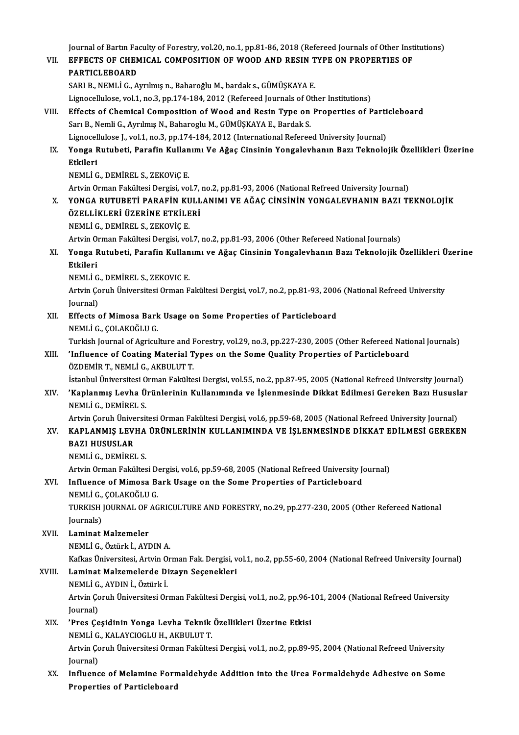Journal of Bartın Faculty of Forestry, vol.20, no.1, pp.81-86, 2018 (Refereed Journals of Other Institutions)<br>FEFECTS OF CHEMICAL COMPOSITION OF WOOD AND RESIN TYPE ON PROPERTIES OF

- Journal of Bartin Faculty of Forestry, vol.20, no.1, pp.81-86, 2018 (Refereed Journals of Other Inst<br>VII. EFFECTS OF CHEMICAL COMPOSITION OF WOOD AND RESIN TYPE ON PROPERTIES OF **Journal of Bartin Fa<br>EFFECTS OF CHEN<br>PARTICLEBOARD** VII. EFFECTS OF CHEMICAL COMPOSITION OF WOOD AND RESIN TYPE ON PROPERTIES OF PARTICLEBOARD<br>PARTICLEBOARD<br>SARI B., NEMLİ G., Ayrılmış n., Baharoğlu M., bardak s., GÜMÜŞKAYA E.
	- Lignocellulose, vol.1, no.3, pp.174-184, 2012 (Refereed Journals of Other Institutions)
- SARI B., NEMLİ G., Ayrılmış n., Baharoğlu M., bardak s., GÜMÜŞKAYA E.<br>Lignocellulose, vol.1, no.3, pp.174-184, 2012 (Refereed Journals of Other Institutions)<br>VIII. Effects of Chemical Composition of Wood and Resin Type on Sarı B., Nemli G., Ayrılmış N., Baharoglu M., GÜMÜŞKAYA E., Bardak S.<br>Lignocellulose J., vol.1, no.3, pp.174-184, 2012 (International Refereed University Journal) Effects of Chemical Composition of Wood and Resin Type on Properties of Parti<br>Sarı B., Nemli G., Ayrılmış N., Baharoglu M., GÜMÜŞKAYA E., Bardak S.<br>Lignocellulose J., vol.1, no.3, pp.174-184, 2012 (International Refereed U
- Sarı B., Nemli G., Ayrılmış N., Baharoglu M., GÜMÜŞKAYA E., Bardak S.<br>Lignocellulose J., vol.1, no.3, pp.174-184, 2012 (International Refereed University Journal)<br>IX. Yonga Rutubeti, Parafin Kullanımı Ve Ağaç Cinsinin Lignoce<mark>l</mark><br>Yonga F<br>Etkileri<br><sup>NEMI İ C</sup> Yonga Rutubeti, Parafin Kullan<br>Etkileri<br>NEMLİ G., DEMİREL S., ZEKOViÇ E.<br>Artvin Orman Fakültesi Dergisi ve Etkileri<br>NEMLİ G., DEMİREL S., ZEKOViÇ E.<br>Artvin Orman Fakültesi Dergisi, vol.7, no.2, pp.81-93, 2006 (National Refreed University Journal)

NEMLİ G., DEMİREL S., ZEKOViÇ E.<br>Artvin Orman Fakültesi Dergisi, vol.7, no.2, pp.81-93, 2006 (National Refreed University Journal)<br>X. YONGA RUTUBETİ PARAFİN KULLANIMI VE AĞAÇ CİNSİNİN YONGALEVHANIN BAZI TEKNOLOJİK<br>ÖZEL Artvin Orman Fakültesi Dergisi, vol.7,<br>YONGA RUTUBETİ PARAFİN KULL<br>ÖZELLİKLERİ ÜZERİNE ETKİLERİ<br>NEMLİ C. DEMİREL S. ZEKOVİC E YONGA RUTUBETİ PARAFİN KU<br>ÖZELLİKLERİ ÜZERİNE ETKİLE<br>NEMLİ G., DEMİREL S., ZEKOVİÇ E.<br>Artyin Orman Fakültesi Dergisi vel ÖZELLİKLERİ ÜZERİNE ETKİLERİ<br>NEMLİ G., DEMİREL S., ZEKOVİÇ E.<br>Artvin Orman Fakültesi Dergisi, vol.7, no.2, pp.81-93, 2006 (Other Refereed National Journals)

### NEMLİ G., DEMİREL S., ZEKOVİÇ E.<br>Artvin Orman Fakültesi Dergisi, vol.7, no.2, pp.81-93, 2006 (Other Refereed National Journals)<br>XI. Yonga Rutubeti, Parafin Kullanımı ve Ağaç Cinsinin Yongalevhanın Bazı Teknolojik Özell Artvin O<mark>i</mark><br>Yonga F<br>Etkileri<br>NEMI İ.C Yonga Rutubeti, Parafin Kullan<br>Etkileri<br>NEMLİ G., DEMİREL S., ZEKOVIC E.<br>Artun Corub Üniversitesi Orman E

Etkileri<br>NEMLİ G., DEMİREL S., ZEKOVIC E.<br>Artvin Çoruh Üniversitesi Orman Fakültesi Dergisi, vol.7, no.2, pp.81-93, 2006 (National Refreed University NEMLI G<br>Artvin Ço<br>Journal)<br>Effects c Artvin Çoruh Üniversitesi Orman Fakültesi Dergisi, vol.7, no.2, pp.81-93, 2006<br>Journal)<br>XII. Effects of Mimosa Bark Usage on Some Properties of Particleboard<br>NEMLIC COLAKOČLUC

Journal)<br>XII. Effects of Mimosa Bark Usage on Some Properties of Particleboard<br>NEMLİ G., ÇOLAKOĞLU G. Effects of Mimosa Bark Usage on Some Properties of Particleboard<br>NEMLİ G., ÇOLAKOĞLU G.<br>Turkish Journal of Agriculture and Forestry, vol.29, no.3, pp.227-230, 2005 (Other Refereed National Journals)<br>'Influence of Conting M

NEMLİ G., ÇOLAKOĞLU G.<br>Turkish Journal of Agriculture and Forestry, vol.29, no.3, pp.227-230, 2005 (Other Refereed National Turkish J<br>XIII. 'Influence of Coating Material Types on the Some Quality Properties of Particl Turkish Journal of Agriculture and <mark>H</mark><br>**'Influence of Coating Material T**<br>ÖZDEMİR T., NEMLİ G., AKBULUT T.<br>İstanbul Üniversitesi Orman Fakülte Influence of Coating Material Types on the Some Quality Properties of Particleboard<br>ÖZDEMİR T., NEMLİ G., AKBULUT T.<br>İstanbul Üniversitesi Orman Fakültesi Dergisi, vol.55, no.2, pp.87-95, 2005 (National Refreed University

ÖZDEMİR T., NEMLİ G., AKBULUT T.<br>İstanbul Üniversitesi Orman Fakültesi Dergisi, vol.55, no.2, pp.87-95, 2005 (National Refreed University Journal)<br>XIV. 'Kaplanmış Levha Ürünlerinin Kullanımında ve İşlenmesinde Dikkat E İstanbul Üniversitesi O<br>'Kaplanmış Levha Ü<br>NEMLİ G., DEMİREL S.<br>Artrin Corub Üniversit 'Kaplanmış Levha Ürünlerinin Kullanımında ve İşlenmesinde Dikkat Edilmesi Gereken Bazı Hususl<br>NEMLİ G., DEMİREL S.<br>Artvin Çoruh Üniversitesi Orman Fakültesi Dergisi, vol.6, pp.59-68, 2005 (National Refreed University Journ

### XV. KAPLANMIŞ LEVHA ÜRÜNLERİNİN KULLANIMINDA VE İŞLENMESİNDE DİKKAT EDİLMESİ GEREKEN Artvin Çoruh Ünive<br>KAPLANMIŞ LEVI<br>BAZI HUSUSLAR<br>NEMLİ C. DEMİREI KAPLANMIŞ LEVHA<br>BAZI HUSUSLAR<br>NEMLİ G., DEMİREL S.<br>Artija Orman Fakültes BAZI HUSUSLAR<br>NEMLİ G., DEMİREL S.<br>Artvin Orman Fakültesi Dergisi, vol.6, pp.59-68, 2005 (National Refreed University Journal)<br>Influence of Mimose Bark Haage on the Same Properties of Bartislebeard

## NEMLİ G., DEMİREL S.<br>Artvin Orman Fakültesi Dergisi, vol.6, pp.59-68, 2005 (National Refreed University J<br>XVI. Influence of Mimosa Bark Usage on the Some Properties of Particleboard<br>NEMLİ G. COLAKOĞLU G. Artvin Orman Fakültesi De<br>I<mark>nfluence of Mimosa B</mark>a<br>NEMLİ G., ÇOLAKOĞLU G.<br>TURKISH JOURNAL OF AC

Influence of Mimosa Bark Usage on the Some Properties of Particleboard<br>NEMLİ G., ÇOLAKOĞLU G.<br>TURKISH JOURNAL OF AGRICULTURE AND FORESTRY, no.29, pp.277-230, 2005 (Other Refereed National<br>Journals) NEMLİ G.,<br>TURKISH<br>Journals)<br>Laminat

### Journals)<br>XVII. Laminat Malzemeler

NEMLİG.,Öztürkİ.,AYDINA.

Laminat Malzemeler<br>NEMLİ G., Öztürk İ., AYDIN A.<br>Kafkas Üniversitesi, Artvin Orman Fak. Dergisi, vol.1, no.2, pp.55-60, 2004 (National Refreed University Journal)

### XVIII. Laminat Malzemelerde Dizayn Seçenekleri Kafkas Üniversitesi, Artvin O<br>Laminat Malzemelerde Di<br>NEMLİ G., AYDIN İ., Öztürk İ.<br>Artvin Corub Üniversitesi Or

NEMLİ G., AYDIN İ., Öztürk İ.

Artvin Çoruh Üniversitesi Orman Fakültesi Dergisi, vol.1, no.2, pp.96-101, 2004 (National Refreed University Iournal)

### XIX. 'Pres Çeşidinin Yonga Levha Teknik Özellikleri Üzerine Etkisi Journal)<br>'Pres Çeşidinin Yonga Levha Teknik<br>NEMLİ G., KALAYCIOGLU H., AKBULUT T.<br>Artvin Comub Üniversitesi Orman Fekülte

Artvin Çoruh Üniversitesi Orman Fakültesi Dergisi, vol.1, no.2, pp.89-95, 2004 (National Refreed University<br>Journal) NEMLI G<br>Artvin Ço<br>Journal)<br>Influenc Artvin Çoruh Üniversitesi Orman Fakültesi Dergisi, vol.1, no.2, pp.89-95, 2004 (National Refreed University<br>Journal)<br>XX. Influence of Melamine Formaldehyde Addition into the Urea Formaldehyde Adhesive on Some<br>Properties of

Journal)<br>Influence of Melamine Forn<br>Properties of Particleboard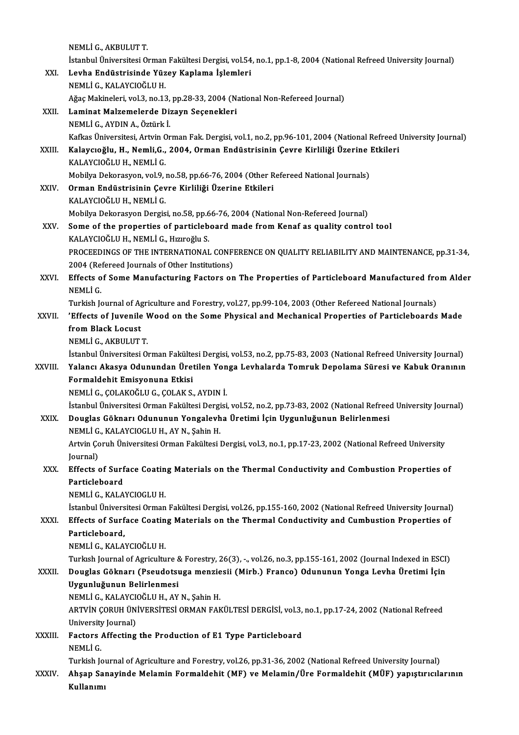NEMLİG.,AKBULUTT. İstanbul Üniversitesi Orman Fakültesi Dergisi, vol.54, no.1, pp.1-8, 2004 (National Refreed University Journal) NEMLİ G., AKBULUT T.<br>İstanbul Üniversitesi Orman Fakültesi Dergisi, vol.54<br>XXI. Levha Endüstrisinde Yüzey Kaplama İşlemleri<br>NEMLİ G. KALAYCIQĞLU H İstanbul Üniversitesi Orman<br>Levha Endüstrisinde Yüz<br>NEMLİ G., KALAYCIOĞLU H.<br>Ağaa Makinalari val 3-na 13 Levha Endüstrisinde Yüzey Kaplama İşlemleri<br>NEMLİ G., KALAYCIOĞLU H.<br>Ağaç Makineleri, vol.3, no.13, pp.28-33, 2004 (National Non-Refereed Journal)<br>Laminat Makamalarda Digayn Sasanaklari NEMLİ G., KALAYCIOĞLU H.<br>Ağaç Makineleri, vol.3, no.13, pp.28-33, 2004 (N.<br>XXII. Laminat Malzemelerde Dizayn Seçenekleri<br>NEMLİ G., AYDIN A., Öztürk İ. Ağaç Makineleri, vol.3, no.13,<br>Laminat Malzemelerde Di:<br>NEMLİ G., AYDIN A., Öztürk İ.<br>Kafkas Üniversitesi, Artvin On Laminat Malzemelerde Dizayn Seçenekleri<br>NEMLİ G., AYDIN A., Öztürk İ.<br>Kafkas Üniversitesi, Artvin Orman Fak. Dergisi, vol.1, no.2, pp.96-101, 2004 (National Refreed University Journal) NEMLİ G., AYDIN A., Öztürk İ.<br>Kafkas Üniversitesi, Artvin Orman Fak. Dergisi, vol.1, no.2, pp.96-101, 2004 (National Refreed l<br>XXIII. Kalaycıoğlu, H., Nemli,G., 2004, Orman Endüstrisinin Çevre Kirliliği Üzerine Etkiler Kafkas Üniversitesi, Artvin C<br>**Kalaycıoğlu, H., Nemli,G.,<br>KALAYCIOĞLU H., NEMLİ G.**<br>Mobilya Dakarasyon yol 9 Kalaycıoğlu, H., Nemli,G., 2004, Orman Endüstrisinin Çevre Kirliliği Üzerine |<br>KALAYCIOĞLU H., NEMLİ G.<br>Mobilya Dekorasyon, vol.9, no.58, pp.66-76, 2004 (Other Refereed National Journals)<br>Orman Endüstrisinin Coure Kirliliğ KALAYCIOĞLU H., NEMLİ G.<br>Mobilya Dekorasyon, vol.9, no.58, pp.66-76, 2004 (Other R<br>XXIV. Orman Endüstrisinin Çevre Kirliliği Üzerine Etkileri<br>KALAYCIOĞLU H., NEMLİ G. Mobilya Dekorasyon, vol.9, no.58, pp.66-76, 2004 (Other Refereed National Journals) Orman Endüstrisinin Çevre Kirliliği Üzerine Etkileri<br>KALAYCIOĞLU H., NEMLİ G.<br>Mobilya Dekorasyon Dergisi, no.58, pp.66-76, 2004 (National Non-Refereed Journal)<br>Seme ef the properties of pertislebeard mode from Kepef es sue XXV. Some of the properties of particleboard made from Kenaf as quality control tool<br>KALAYCIOĞLU H., NEMLİ G., Hızıroğlu S. Mobilya Dekorasyon Dergisi, no.58, pp.6<br>Some of the properties of particleb<br>KALAYCIOĞLU H., NEMLİ G., Hızıroğlu S.<br>PROCEEDINCS OF TUE INTERNATIONAL Some of the properties of particleboard made from Kenaf as quality control tool<br>KALAYCIOĞLU H., NEMLİ G., Hızıroğlu S.<br>PROCEEDINGS OF THE INTERNATIONAL CONFERENCE ON QUALITY RELIABILITY AND MAINTENANCE, pp.31-34,<br>2004 (Pef KALAYCIOĞLU H., NEMLİ G., Hızıroğlu S.<br>PROCEEDINGS OF THE INTERNATIONAL CONFI<br>2004 (Refereed Journals of Other Institutions)<br>Effecta of Some Manufacturing Eastars on PROCEEDINGS OF THE INTERNATIONAL CONFERENCE ON QUALITY RELIABILITY AND MAINTENANCE, pp.31-34,<br>2004 (Refereed Journals of Other Institutions)<br>XXVI. Effects of Some Manufacturing Factors on The Properties of Particleboard Ma 2004 (Re<br>**Effects o**<br>NEMLİ G.<br>Turkish k Effects of Some Manufacturing Factors on The Properties of Particleboard Manufactured fro<br>NEMLI G.<br>Turkish Journal of Agriculture and Forestry, vol.27, pp.99-104, 2003 (Other Refereed National Journals)<br>'Fffects of Juyonil NEMLİ G.<br>Turkish Journal of Agriculture and Forestry, vol.27, pp.99-104, 2003 (Other Refereed National Journals)<br>XXVII. 'Effects of Juvenile Wood on the Some Physical and Mechanical Properties of Particleboards Made<br>fr Turkish Journal of Agriculture and Forestry, vol.27, pp.99-104, 2003 (Other Refereed National Journals)<br>'Effects of Juvenile Wood on the Some Physical and Mechanical Properties of Particleboards<br>from Black Locust<br>NEMLİ G., 'Effects of Juvenile <mark>\</mark><br>from Black Locust<br>NEMLİ G., AKBULUT T.<br>İstanbul Üniversitesi Q. İstanbul Üniversitesi Orman Fakültesi Dergisi, vol.53, no.2, pp.75-83, 2003 (National Refreed University Journal) NEMLİ G., AKBULUT T.<br>İstanbul Üniversitesi Orman Fakültesi Dergisi, vol.53, no.2, pp.75-83, 2003 (National Refreed University Journal)<br>XXVIII. Yalancı Akasya Odunundan Üretilen Yonga Levhalarda Tomruk Depolama Süresi v İstanbul Üniversitesi Orman Fakülte<br>Yalancı Akasya Odunundan Üret<br>Formaldehit Emisyonuna Etkisi<br>NEMLİ.C. COLAKOĞLU.C. COLAK S Yalancı Akasya Odunundan Üretilen Yon<br>Formaldehit Emisyonuna Etkisi<br>NEMLİ G., ÇOLAKOĞLU G., ÇOLAK S., AYDIN İ.<br>İstanbul Üniversitesi Orman Eakültesi Dersisi Formaldehit Emisyonuna Etkisi<br>NEMLİ G., ÇOLAKOĞLU G., ÇOLAK S., AYDIN İ.<br>İstanbul Üniversitesi Orman Fakültesi Dergisi, vol.52, no.2, pp.73-83, 2002 (National Refreed University Journal)<br>Douglas Göknarı Odununun Yongalevha NEMLİ G., ÇOLAKOĞLU G., ÇOLAK S., AYDIN İ.<br>İstanbul Üniversitesi Orman Fakültesi Dergisi, vol.52, no.2, pp.73-83, 2002 (National Refree<br>XXIX. Douglas Göknarı Odununun Yongalevha Üretimi İçin Uygunluğunun Belirlenmesi<br>N İstanbul Üniversitesi Orman Fakültesi Dergi<br>Douglas Göknarı Odununun Yongalevh<br>NEMLİ G., KALAYCIOGLU H., AY N., Şahin H.<br>Artvin Coruk Üniversitesi Orman Fakültesi l Douglas Göknarı Odununun Yongalevha Üretimi İçin Uygunluğunun Belirlenmesi<br>NEMLİ G., KALAYCIOGLU H., AY N., Şahin H.<br>Artvin Çoruh Üniversitesi Orman Fakültesi Dergisi, vol.3, no.1, pp.17-23, 2002 (National Refreed Universi NEMLI G<br>Artvin Ço<br>Journal)<br>Effects Artvin Çoruh Üniversitesi Orman Fakültesi Dergisi, vol.3, no.1, pp.17-23, 2002 (National Refreed University<br>Journal)<br>XXX. Effects of Surface Coating Materials on the Thermal Conductivity and Combustion Properties of<br>Pertis Journal)<br><mark>Effects of Surf</mark><br>Particleboard<br>NEMLI*C YA*LA Effects of Surface Coatin<br>Particleboard<br>NEMLİ G., KALAYCIOGLU H.<br>İstanbul Üniversitesi Orman Particleboard<br>NEMLİ G., KALAYCIOGLU H.<br>İstanbul Üniversitesi Orman Fakültesi Dergisi, vol.26, pp.155-160, 2002 (National Refreed University Journal)<br>Effects of Surface Coating Materials on the Thermal Conductivity and Cumb NEMLİ G., KALAYCIOGLU H.<br>İstanbul Üniversitesi Orman Fakültesi Dergisi, vol.26, pp.155-160, 2002 (National Refreed University Journal)<br>XXXI. Effects of Surface Coating Materials on the Thermal Conductivity and Cumbusti İstanbul Ünivers<br>Effects of Surf<br>Particleboard,<br>NEMLİ C. KALA Effects of Surface Coatin<br>Particleboard,<br>NEMLİ G., KALAYCIOĞLU H.<br>Turkeb Journal of Agricultu Particleboard,<br>NEMLİ G., KALAYCIOĞLU H.<br>Turkısh Journal of Agriculture & Forestry, 26(3), -., vol.26, no.3, pp.155-161, 2002 (Journal Indexed in ESCI)<br>Douglas Göknarı (Booudotsuga mongiosii (Mirb.) Erango) Odununun Yonga L NEMLİ G., KALAYCIOĞLU H.<br>Turkısh Journal of Agriculture & Forestry, 26(3), -., vol.26, no.3, pp.155-161, 2002 (Journal Indexed in ESCI<br>XXXII. Douglas Göknarı (Pseudotsuga menziesii (Mirb.) Franco) Odununun Yonga Levha Turkısh Journal of Agriculture &<br>Douglas Göknarı (Pseudotsı<br>Uygunluğunun Belirlenmesi<br>NEMLİ.C. KALAYCIQČLUH AV Douglas Göknarı (Pseudotsuga menzie<br>Uygunluğunun Belirlenmesi<br>NEMLİ G., KALAYCIOĞLU H., AY N., Şahin H.<br>APTVİN COPUH ÜNİVERSİTESİ OPMAN FAL Uygunluğunun Belirlenmesi<br>NEMLİ G., KALAYCIOĞLU H., AY N., Şahin H.<br>ARTVİN ÇORUH ÜNİVERSİTESİ ORMAN FAKÜLTESİ DERGİSİ, vol.3, no.1, pp.17-24, 2002 (National Refreed NEMLİ G., KALAYCIOĞLU H., AY N., Sahin H. XXXIII. Factors Affecting the Production of E1 Type Particleboard<br>NEMLI G. University Journal) Turkish Journal of Agriculture and Forestry, vol.26, pp.31-36, 2002 (National Refreed University Journal) NEMLİ G.<br>Turkish Journal of Agriculture and Forestry, vol.26, pp.31-36, 2002 (National Refreed University Journal)<br>XXXIV. Ahşap Sanayinde Melamin Formaldehit (MF) ve Melamin/Üre Formaldehit (MÜF) yapıştırıcılarının<br>Kull Turkish Jo<br><mark>Ahşap Sa</mark>ı<br>Kullanımı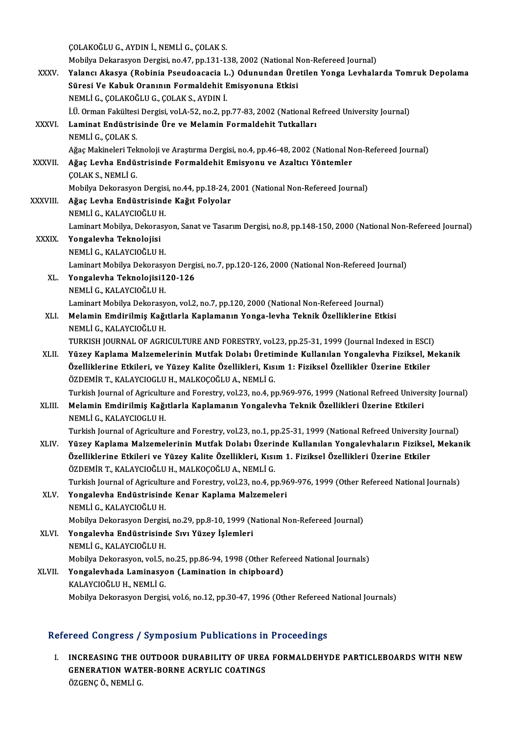|               | ÇOLAKOĞLU G., AYDIN İ., NEMLİ G., ÇOLAK S.                                                                        |
|---------------|-------------------------------------------------------------------------------------------------------------------|
|               | Mobilya Dekarasyon Dergisi, no.47, pp.131-138, 2002 (National Non-Refereed Journal)                               |
| XXXV.         | Yalancı Akasya (Robinia Pseudoacacia L.) Odunundan Üretilen Yonga Levhalarda Tomruk Depolama                      |
|               | Süresi Ve Kabuk Oranının Formaldehit Emisyonuna Etkisi                                                            |
|               | NEMLİ G., ÇOLAKOĞLU G., ÇOLAK S., AYDIN İ.                                                                        |
|               | İ.Ü. Orman Fakültesi Dergisi, vol.A-52, no.2, pp.77-83, 2002 (National Refreed University Journal)                |
| XXXVI.        | Laminat Endüstrisinde Üre ve Melamin Formaldehit Tutkalları                                                       |
|               | NEMLİ G., ÇOLAK S.                                                                                                |
|               | Ağaç Makineleri Teknoloji ve Araştırma Dergisi, no.4, pp.46-48, 2002 (National Non-Refereed Journal)              |
| <b>XXXVII</b> | Ağaç Levha Endüstrisinde Formaldehit Emisyonu ve Azaltıcı Yöntemler                                               |
|               | ÇOLAK S., NEMLİ G.                                                                                                |
|               | Mobilya Dekorasyon Dergisi, no.44, pp.18-24, 2001 (National Non-Refereed Journal)                                 |
| XXXVIII.      | Ağaç Levha Endüstrisinde Kağıt Folyolar                                                                           |
|               | NEMLİ G., KALAYCIOĞLU H.                                                                                          |
|               | Laminart Mobilya, Dekorasyon, Sanat ve Tasarım Dergisi, no.8, pp.148-150, 2000 (National Non-Refereed Journal)    |
| <b>XXXIX</b>  | Yongalevha Teknolojisi                                                                                            |
|               | NEMLİ G., KALAYCIOĞLU H.                                                                                          |
|               | Laminart Mobilya Dekorasyon Dergisi, no.7, pp.120-126, 2000 (National Non-Refereed Journal)                       |
| XL.           | Yongalevha Teknolojisi120-126                                                                                     |
|               | NEMLİ G., KALAYCIOĞLU H.                                                                                          |
|               | Laminart Mobilya Dekorasyon, vol.2, no.7, pp.120, 2000 (National Non-Refereed Journal)                            |
| XLI.          | Melamin Emdirilmiş Kağıtlarla Kaplamanın Yonga-levha Teknik Özelliklerine Etkisi<br>NEMLİ G., KALAYCIOĞLU H.      |
|               | TURKISH JOURNAL OF AGRICULTURE AND FORESTRY, vol.23, pp.25-31, 1999 (Journal Indexed in ESCI)                     |
| XLII.         | Yüzey Kaplama Malzemelerinin Mutfak Dolabı Üretiminde Kullanılan Yongalevha Fiziksel, Mekanik                     |
|               | Özelliklerine Etkileri, ve Yüzey Kalite Özellikleri, Kısım 1: Fiziksel Özellikler Üzerine Etkiler                 |
|               | ÖZDEMİR T., KALAYCIOGLU H., MALKOÇOĞLU A., NEMLİ G.                                                               |
|               | Turkish Journal of Agriculture and Forestry, vol.23, no.4, pp.969-976, 1999 (National Refreed University Journal) |
| XLIII.        | Melamin Emdirilmiş Kağıtlarla Kaplamanın Yongalevha Teknik Özellikleri Üzerine Etkileri                           |
|               | NEMLİ G., KALAYCIOGLU H.                                                                                          |
|               | Turkish Journal of Agriculture and Forestry, vol.23, no.1, pp.25-31, 1999 (National Refreed University Journal)   |
| XLIV.         | Yüzey Kaplama Malzemelerinin Mutfak Dolabı Üzerinde Kullanılan Yongalevhaların Fiziksel, Mekanik                  |
|               | Özelliklerine Etkileri ve Yüzey Kalite Özellikleri, Kısım 1. Fiziksel Özellikleri Üzerine Etkiler                 |
|               | ÖZDEMİR T., KALAYCIOĞLU H., MALKOÇOĞLU A., NEMLİ G.                                                               |
|               | Turkish Journal of Agriculture and Forestry, vol.23, no.4, pp.969-976, 1999 (Other Refereed National Journals)    |
| XLV.          | Yongalevha Endüstrisinde Kenar Kaplama Malzemeleri                                                                |
|               | NEMLİ G., KALAYCIOĞLU H.                                                                                          |
|               | Mobilya Dekorasyon Dergisi, no.29, pp.8-10, 1999 (National Non-Refereed Journal)                                  |
| XLVI.         | Yongalevha Endüstrisinde Sıvı Yüzey İşlemleri                                                                     |
|               | NEMLİ G., KALAYCIOĞLU H.                                                                                          |
|               | Mobilya Dekorasyon, vol.5, no.25, pp.86-94, 1998 (Other Refereed National Journals)                               |
| XLVII.        | Yongalevhada Laminasyon (Lamination in chipboard)                                                                 |
|               | KALAYCIOĞLU H., NEMLİ G.                                                                                          |
|               | Mobilya Dekorasyon Dergisi, vol.6, no.12, pp.30-47, 1996 (Other Refereed National Journals)                       |

### Refereed Congress / Symposium Publications in Proceedings

efereed Congress / Symposium Publications in Proceedings<br>I. INCREASING THE OUTDOOR DURABILITY OF UREA FORMALDEHYDE PARTICLEBOARDS WITH NEW<br>CENERATION WATER BORNE ACRYLIC COATINGS TOOR GONGLOSSY SYMPOSIUM I USHORISHIS III<br>INCREASING THE OUTDOOR DURABILITY OF UREA<br>GENERATION WATER-BORNE ACRYLIC COATINGS GENERATION WATER-BORNE ACRYLIC COATINGS<br>ÖZGENÇ Ö., NEMLİ G.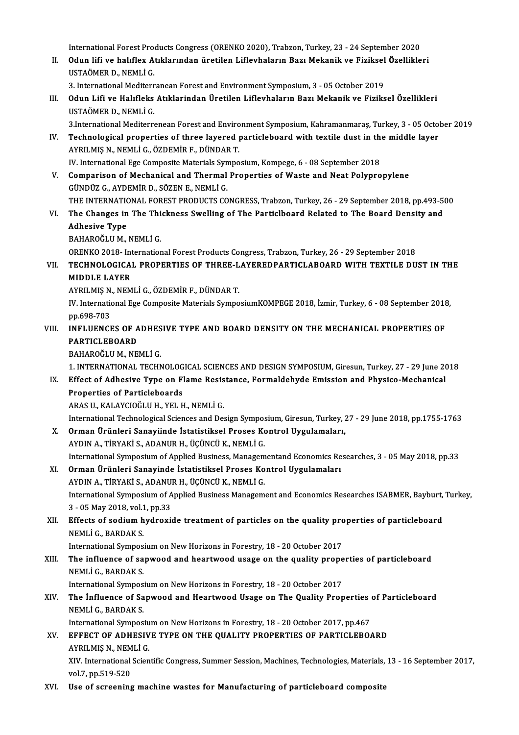International Forest Products Congress (ORENKO 2020), Trabzon, Turkey, 23 - 24 September 2020<br>Odun lifi ve balıflay Atıklanından ünetilen Liflayhalanın Bazı Makanik ve Fizikaal Özellikle

International Forest Products Congress (ORENKO 2020), Trabzon, Turkey, 23 - 24 September 2020<br>II. Odun lifi ve halıflex Atıklarından üretilen Liflevhaların Bazı Mekanik ve Fiziksel Özellikleri<br>USTAÖMER D. NEMLİ C International Forest Pro<br>**Odun lifi ve halıflex A**<br>USTAÖMER D., NEMLİ G.<br><sup>2</sup> International Maditern II. Odun lifi ve halıflex Atıklarından üretilen Liflevhaların Bazı Mekanik ve Fiziksel Özellikleri<br>USTAÖMER D. NEMLİ G.

3. International Mediterranean Forest and Environment Symposium, 3 - 05 October 2019

III. Odun Lifi ve Halıfleks Atıklarından Üretilen Liflevhaların Bazı Mekanik ve Fiziksel Özellikleri<br>USTAÖMER D. NEMLİ G. Odun Lifi ve Halıfleks Atıklarindan Üretilen Liflevhaların Bazı Mekanik ve Fiziksel Özellikleri<br>USTAÖMER D., NEMLİ G.<br>3.International Mediterrenean Forest and Environment Symposium, Kahramanmaraş, Turkey, 3 - 05 October 20

IV. Technological properties of three layered particleboard with textile dust in the middle layer<br>AYRILMIS N., NEMLI G., ÖZDEMIR F., DÜNDAR T. 3.International Mediterrenean Forest and Enviro<br>Technological properties of three layered <sub>I</sub><br>AYRILMIŞ N., NEMLİ G., ÖZDEMİR F., DÜNDAR T.<br>IV. International Ege Comnesite Materials Sumne Technological properties of three layered particleboard with textile dust in th<br>AYRILMIŞ N., NEMLİ G., ÖZDEMİR F., DÜNDAR T.<br>IV. International Ege Composite Materials Symposium, Kompege, 6 - 08 September 2018<br>Comparison of

- AYRILMIŞ N., NEMLİ G., ÖZDEMİR F., DÜNDAR T.<br>IV. International Ege Composite Materials Symposium, Kompege, 6 08 September 2018<br>V. Comparison of Mechanical and Thermal Properties of Waste and Neat Polypropylene<br>CÜNDÜZ IV. International Ege Composite Materials Syn<br>Comparison of Mechanical and Thermal<br>GÜNDÜZ G., AYDEMİR D., SÖZEN E., NEMLİ G.<br>THE INTERNATIONAL FOREST PRODUCTS CO Comparison of Mechanical and Thermal Properties of Waste and Neat Polypropylene<br>GÜNDÜZ G., AYDEMİR D., SÖZEN E., NEMLİ G.<br>THE INTERNATIONAL FOREST PRODUCTS CONGRESS, Trabzon, Turkey, 26 - 29 September 2018, pp.493-500<br>The
- GÜNDÜZ G., AYDEMİR D., SÖZEN E., NEMLİ G.<br>THE INTERNATIONAL FOREST PRODUCTS CONGRESS, Trabzon, Turkey, 26 29 September 2018, pp.493-5<br>VI. The Changes in The Thickness Swelling of The Particlboard Related to The Board THE INTERNATION<br>The Changes in<br>Adhesive Type<br>RAHAROČI II M The Changes in The Thi<br>Adhesive Type<br>BAHAROĞLU M., NEMLİ G.<br>OPENKO 2018, Internation Adhesive Type<br>BAHAROĞLU M., NEMLİ G.<br>ORENKO 2018- International Forest Products Congress, Trabzon, Turkey, 26 - 29 September 2018<br>TECHNOLOCICAL PROPERTIES OF THREE LAVEREDRARTICLAROARD WITH TEVTILE DIL

BAHAROĞLU M., NEMLİ G.<br>ORENKO 2018- International Forest Products Congress, Trabzon, Turkey, 26 - 29 September 2018<br>VII. TECHNOLOGICAL PROPERTIES OF THREE-LAYEREDPARTICLABOARD WITH TEXTILE DUST IN THE<br>MIDDLE LAYER ORENKO 2018- Int<br>TECHNOLOGICA<br>MIDDLE LAYER<br>AYPU MIS N. NEM TECHNOLOGICAL PROPERTIES OF THREE-L<br>MIDDLE LAYER<br>AYRILMIŞ N., NEMLİ G., ÖZDEMİR F., DÜNDAR T.<br>IV. International Ege Composite Materiale Sumpe

IV. International Ege Composite Materials SymposiumKOMPEGE 2018, İzmir, Turkey, 6 - 08 September 2018, pp.698-703 AYRILMIŞ N.<br>IV. Internation<br>pp.698-703<br>INEL UENCI IV. International Ege Composite Materials SymposiumKOMPEGE 2018, İzmir, Turkey, 6 - 08 September 2018<br>pp.698-703<br>VIII. INFLUENCES OF ADHESIVE TYPE AND BOARD DENSITY ON THE MECHANICAL PROPERTIES OF

# PP.698-703<br>INFLUENCES OF A<br>PARTICLEBOARD<br>PAHAPOČIJIM NE INFLUENCES OF ADHES<br>PARTICLEBOARD<br>BAHAROĞLU M., NEMLİ G.<br>1. INTERNATIONAL TECHN

PARTICLEBOARD<br>BAHAROĞLU M., NEMLİ G.<br>1. INTERNATIONAL TECHNOLOGICAL SCIENCES AND DESIGN SYMPOSIUM, Giresun, Turkey, 27 - 29 June 2018

### BAHAROĞLU M., NEMLİ G.<br>1. INTERNATIONAL TECHNOLOGICAL SCIENCES AND DESIGN SYMPOSIUM, Giresun, Turkey, 27 - 29 June 20<br>1X. Effect of Adhesive Type on Flame Resistance, Formaldehyde Emission and Physico-Mechanical<br>Propositie 1. INTERNATIONAL TECHNOLOG<br>Effect of Adhesive Type on Fi<br>Properties of Particleboards<br>ARAS U. KALAYCIOČLU H. VEL H Effect of Adhesive Type on Flame Resis<br>Properties of Particleboards<br>ARAS U., KALAYCIOĞLU H., YEL H., NEMLİ G.<br>International Technologiaal Sciences and Des Properties of Particleboards<br>ARAS U., KALAYCIOĞLU H., YEL H., NEMLİ G.<br>International Technological Sciences and Design Symposium, Giresun, Turkey, 27 - 29 June 2018, pp.1755-1763

X. Orman Ürünleri Sanayiinde İstatistiksel Proses Kontrol Uygulamaları, AYDIN A., TİRYAKİ S., ADANUR H., ÜÇÜNCÜ K., NEMLİ G. International Symposium of Applied Business, Managementand Economics Researches, 3 - 05 May 2018, pp.33

### XI. Orman Ürünleri Sanayinde İstatistiksel Proses Kontrol Uygulamaları International Symposium of Applied Business, Managem<br>Orman Ürünleri Sanayinde İstatistiksel Proses Ko<br>AYDIN A., TİRYAKİ S., ADANUR H., ÜÇÜNCÜ K., NEMLİ G.<br>International Sumposium of Applied Business Manasem

International Symposium of Applied Business Management and Economics Researches ISABMER, Bayburt, Turkey,<br>3 - 05 May 2018, vol.1, pp.33 AYDIN A., TİRYAKİ S., ADANU<br>International Symposium of A<br>3 - 05 May 2018, vol.1, pp.33<br>Effects of sodium hydrovi International Symposium of Applied Business Management and Economics Researches ISABMER, Bayburt,<br>3 - 05 May 2018, vol.1, pp.33<br>XII. Effects of sodium hydroxide treatment of particles on the quality properties of particleb

3 - 05 May 2018, vol.1<br>Effects of sodium h<br>NEMLİ G., BARDAK S.<br>International Sumnes Effects of sodium hydroxide treatment of particles on the quality pro<br>NEMLİ G., BARDAK S.<br>International Symposium on New Horizons in Forestry, 18 - 20 October 2017<br>The influence of sanwood and heartwood usage on the qualit

### NEMLİ G., BARDAK S.<br>International Symposium on New Horizons in Forestry, 18 - 20 October 2017<br>XIII. The influence of sapwood and heartwood usage on the quality properties of particleboard<br>NEMLİ C. PARDAK S International Sympos<br>The influence of sa<br>NEMLİ G., BARDAK S.<br>International Sympos The influence of sapwood and heartwood usage on the quality prope<br>NEMLİ G., BARDAK S.<br>International Symposium on New Horizons in Forestry, 18 - 20 October 2017<br>The Influence of Sanwood and Heartwood Usage on The Quality Pr

### NEMLİ G., BARDAK S.<br>International Symposium on New Horizons in Forestry, 18 - 20 October 2017<br>XIV. The İnfluence of Sapwood and Heartwood Usage on The Quality Properties of Particleboard<br>NEMLİ G. PARDAK S International Sympos<br>The Influence of Sa<br>NEMLI G., BARDAK S.<br>International Sympos The Influence of Sapwood and Heartwood Usage on The Quality Properties<br>NEMLI G., BARDAK S.<br>International Symposium on New Horizons in Forestry, 18 - 20 October 2017, pp.467<br>FEEECT OF ADHESIVE TYPE ON THE QUALITY PROPERTIES

XV. EFFECT OF ADHESIVE TYPE ON THE QUALITY PROPERTIES OF PARTICLEBOARD International Symposiu<br>EFFECT OF ADHESIV<br>AYRILMIŞ N., NEMLİ G.<br>YIV. International Sejan AYRILMIS N., NEMLİ G.

XIV. International Scientific Congress, Summer Session, Machines, Technologies, Materials, 13 - 16 September 2017, vol.7, pp.519-520

XVI. Use of screening machine wastes for Manufacturing of particleboard composite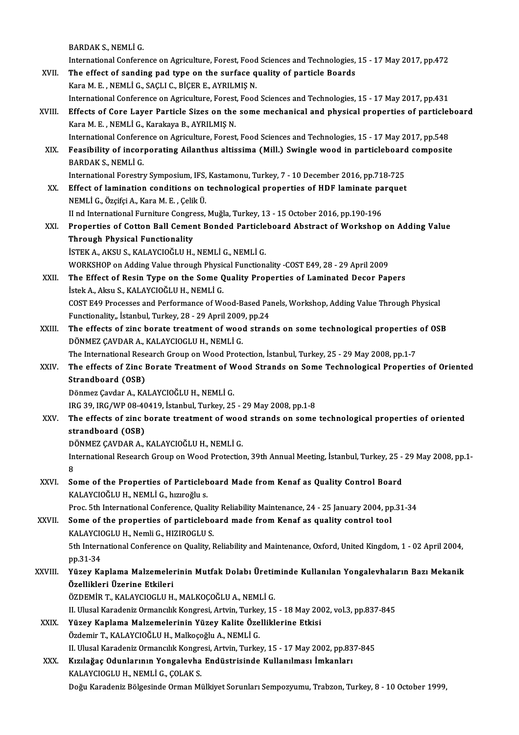BARDAK S., NEMLİ G.

International Conference on Agriculture, Forest, Food Sciences and Technologies, 15 - 17 May 2017, pp.472

- BARDAK S., NEMLI G.<br>International Conference on Agriculture, Forest, Food Sciences and Technologies,<br>XVII. The effect of sanding pad type on the surface quality of particle Boards<br>Karo M. E. NEMLI G. SACLI G. PICER E. AVPU International Conference on Agriculture, Forest, Food<br>The effect of sanding pad type on the surface q<br>Kara M. E. , NEMLİ G., SAÇLI C., BİÇER E., AYRILMIŞ N.<br>International Conference on Agriculture, Fonest, Food Kara M. E. , NEMLİ G., SAÇLI C., BİÇER E., AYRILMIŞ N.<br>International Conference on Agriculture, Forest, Food Sciences and Technologies, 15 - 17 May 2017, pp.431 Kara M. E. , NEMLİ G., SAÇLI C., BİÇER E., AYRILMIŞ N.<br>International Conference on Agriculture, Forest, Food Sciences and Technologies, 15 - 17 May 2017, pp.431<br>XVIII. Effects of Core Layer Particle Sizes on the some mecha
- Kara M. E. , NEMLİ G., Karakaya B., AYRILMIŞ N.<br>International Conference on Agriculture, Forest, Food Sciences and Technologies, 15 17 May 2017, pp.548 Effects of Core Layer Particle Sizes on the some mechanical and physical properties of particlel<br>Kara M. E. , NEMLİ G., Karakaya B., AYRILMIŞ N.<br>International Conference on Agriculture, Forest, Food Sciences and Technologi
- Kara M. E. , NEMLİ G., Karakaya B., AYRILMIŞ N.<br>International Conference on Agriculture, Forest, Food Sciences and Technologies, 15 17 May 2017, pp.548<br>XIX. Feasibility of incorporating Ailanthus altissima (Mill.) Sw International Confere<br>Feasibility of incor<br>BARDAK S., NEMLİ G.<br>International Ferestry Feasibility of incorporating Ailanthus altissima (Mill.) Swingle wood in particleboard<br>BARDAK S., NEMLİ G.<br>International Forestry Symposium, IFS, Kastamonu, Turkey, 7 - 10 December 2016, pp.718-725<br>Effect of lamination, co BARDAK S., NEMLİ G.<br>International Forestry Symposium, IFS, Kastamonu, Turkey, 7 - 10 December 2016, pp.718-725<br>XX. Effect of lamination conditions on technological properties of HDF laminate parquet

NEMLİG.,ÖzçifçiA.,KaraM.E. ,ÇelikÜ. Effect of lamination conditions on technological properties of HDF laminate pa<br>NEMLİ G., Özçifçi A., Kara M. E. , Çelik Ü.<br>II nd International Furniture Congress, Muğla, Turkey, 13 - 15 October 2016, pp.190-196<br>Properties

NEMLİ G., Özçifçi A., Kara M. E. , Çelik Ü.<br>II nd International Furniture Congress, Muğla, Turkey, 13 - 15 October 2016, pp.190-196<br>XXI. Properties of Cotton Ball Cement Bonded Particleboard Abstract of Workshop on Add II nd International Furniture Congre<br>Properties of Cotton Ball Cemer<br>Through Physical Functionality<br>ISTEV A AVSUS VALAYCIOČULU Properties of Cotton Ball Cement Bonded Particle<br>Through Physical Functionality<br>İSTEK A., AKSU S., KALAYCIOĞLU H., NEMLİ G., NEMLİ G.<br>WORKSHOR AR Adding Value through Physical Eungtion Through Physical Functionality<br>İSTEK A., AKSU S., KALAYCIOĞLU H., NEMLİ G., NEMLİ G.<br>WORKSHOP on Adding Value through Physical Functionality -COST E49, 28 - 29 April 2009

ISTEK A., AKSU S., KALAYCIOĞLU H., NEMLİ G., NEMLİ G.<br>WORKSHOP on Adding Value through Physical Functionality -COST E49, 28 - 29 April 2009<br>XXII. The Effect of Resin Type on the Some Quality Properties of Laminated Decor P WORKSHOP on Adding Value through Physic<br>The Effect of Resin Type on the Some Q<br>İstek A., Aksu S., KALAYCIOĞLU H., NEMLİ G.<br>COST E40 Pressesse and Performanes of We The Effect of Resin Type on the Some Quality Properties of Laminated Decor Papers<br>İstek A., Aksu S., KALAYCIOĞLU H., NEMLİ G.<br>COST E49 Processes and Performance of Wood-Based Panels, Workshop, Adding Value Through Physical İstek A., Aksu S., KALAYCIOĞLU H., NEMLİ G.<br>COST E49 Processes and Performance of Wood-Based Pa<br>Functionality,, İstanbul, Turkey, 28 - 29 April 2009, pp.24<br>The effects of sins berate treatment of wood stran

COST E49 Processes and Performance of Wood-Based Panels, Workshop, Adding Value Through Physical<br>Functionality,, İstanbul, Turkey, 28 - 29 April 2009, pp.24<br>XXIII. The effects of zinc borate treatment of wood strands on so Functionality,, İstanbul, Turkey, 28 - 29 April 2009, pp.24<br>The effects of zinc borate treatment of wood strands on some technological properties<br>DÖNMEZ ÇAVDAR A., KALAYCIOGLU H., NEMLİ G.<br>The International Research Group The effects of zinc borate treatment of wood strands on some technological properties<br>DÖNMEZ ÇAVDAR A., KALAYCIOGLU H., NEMLİ G.<br>The International Research Group on Wood Protection, İstanbul, Turkey, 25 - 29 May 2008, pp.1

DÖNMEZ ÇAVDAR A., KALAYCIOGLU H., NEMLİ G.<br>The International Research Group on Wood Protection, İstanbul, Turkey, 25 - 29 May 2008, pp.1-7<br>XXIV. The effects of Zinc Borate Treatment of Wood Strands on Some Technologica The International Rese<br>The effects of Zinc I<br>Strandboard (OSB)<br>Dönmer Caydar A, KA The effects of Zinc Borate Treatment of W<br>Strandboard (OSB)<br>Dönmez Çavdar A., KALAYCIOĞLU H., NEMLİ G.<br>IBC 30 JBC (WB 08.40419, İstanbul Turkey, 25 Strandboard (OSB)<br>Dönmez Çavdar A., KALAYCIOĞLU H., NEMLİ G.<br>IRG 39, IRG/WP 08-40419, İstanbul, Turkey, 25 - 29 May 2008, pp.1-8<br>The effects of sing benate treatment of weed strands en seme

## Dönmez Çavdar A., KALAYCIOĞLU H., NEMLİ G.<br>IRG 39, IRG/WP 08-40419, İstanbul, Turkey, 25 - 29 May 2008, pp.1-8<br>XXV. The effects of zinc borate treatment of wood strands on some technological properties of oriented<br>stra IRG 39, IRG/WP 08-40<br>The effects of zinc b<br>strandboard (OSB)<br>DÖNMEZ CAVDAR A

DÖNMEZ ÇAVDAR A., KALAYCIOĞLU H., NEMLİ G.

strandboard (OSB)<br>DÖNMEZ ÇAVDAR A., KALAYCIOĞLU H., NEMLİ G.<br>International Research Group on Wood Protection, 39th Annual Meeting, İstanbul, Turkey, 25 - 29 May 2008, pp.1-<br>o **D**<br>In<br>8 International Research Group on Wood Protection, 39th Annual Meeting, İstanbul, Turkey, 25 -<br>8<br>XXVI. Some of the Properties of Particleboard Made from Kenaf as Quality Control Board<br>KALAYCIQĞLU HANEMLİ Cabrungğlu s

# 8<br>Some of the Properties of Particleboard Made from Kenaf as Quality Control Board<br>KALAYCIOĞLU H., NEMLİ G., hızıroğlu s.

Proc. 5th International Conference, Quality Reliability Maintenance, 24 - 25 January 2004, pp.31-34

### KALAYCIOĞLU H., NEMLİ G., hızıroğlu s.<br>Proc. 5th International Conference, Quality Reliability Maintenance, 24 - 25 January 2004, pp<br>XXVII. Some of the properties of particleboard made from Kenaf as quality control tool Proc. 5th International Conference, Qualit<br>Some of the properties of particlebo<br>KALAYCIOGLU H., Nemli G., HIZIROGLU S.<br>Eth International Conference on Quality I. 5th InternationalConference onQuality,Reliability andMaintenance,Oxford,UnitedKingdom,1 -02April2004,

pp.31-34 5th International Conference on Quality, Reliability and Maintenance, Oxford, United Kingdom, 1 - 02 April 2004,<br>pp.31-34<br>XXVIII. Yüzey Kaplama Malzemelerinin Mutfak Dolabı Üretiminde Kullanılan Yongalevhaların Bazı Mekani

# pp.31-34<br>Yüzey Kaplama Malzemeler<br>Özellikleri Üzerine Etkileri<br>ÖZDEMİP T. KALAYCIQCLU H Yüzey Kaplama Malzemelerinin Mutfak Dolabı Üretin<br>Özellikleri Üzerine Etkileri<br>ÖZDEMİR T., KALAYCIOGLU H., MALKOÇOĞLU A., NEMLİ G.<br>IL Ulusel Kenadeniz Ormansılık Kenaresi, Artyin Turkey, 15

Özellikleri Üzerine Etkileri<br>ÖZDEMİR T., KALAYCIOGLU H., MALKOÇOĞLU A., NEMLİ G.<br>II. Ulusal Karadeniz Ormancılık Kongresi, Artvin, Turkey, 15 - 18 May 2002, vol.3, pp.837-845

### XXIX. Yüzey Kaplama Malzemelerinin Yüzey Kalite Özelliklerine Etkisi Özdemir T., KALAYCIOĞLU H., Malkoçoğlu A., NEMLİ G. Yüzey Kaplama Malzemelerinin Yüzey Kalite Özelliklerine Etkisi<br>Özdemir T., KALAYCIOĞLU H., Malkoçoğlu A., NEMLİ G.<br>II. Ulusal Karadeniz Ormancılık Kongresi, Artvin, Turkey, 15 - 17 May 2002, pp.837-845<br>Kızılağas Odunlarını

### Özdemir T., KALAYCIOĞLU H., Malkoçoğlu A., NEMLİ G.<br>II. Ulusal Karadeniz Ormancılık Kongresi, Artvin, Turkey, 15 - 17 May 2002, pp.83<br>XXX. Kızılağaç Odunlarının Yongalevha Endüstrisinde Kullanılması İmkanları<br>KALAYCIOC II. Ulusal Karadeniz Ormancılık Kongre<br>Kızılağaç Odunlarının Yongalevha<br>KALAYCIOGLU H., NEMLİ G., ÇOLAK S.<br>Doğu Karadeniz Bölzesinde Orman Mi Kızılağaç Odunlarının Yongalevha Endüstrisinde Kullanılması İmkanları<br>KALAYCIOGLU H., NEMLİ G., ÇOLAK S.<br>Doğu Karadeniz Bölgesinde Orman Mülkiyet Sorunları Sempozyumu, Trabzon, Turkey, 8 - 10 October 1999,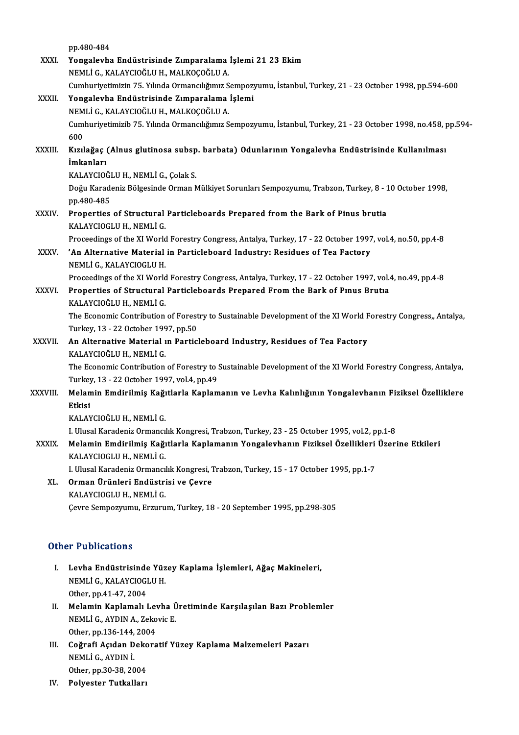|               | pp 480-484                                                                                                         |
|---------------|--------------------------------------------------------------------------------------------------------------------|
| XXXI.         | Yongalevha Endüstrisinde Zımparalama İşlemi 21 23 Ekim                                                             |
|               | NEMLİ G., KALAYCIOĞLU H., MALKOÇOĞLU A.                                                                            |
|               | Cumhuriyetimizin 75. Yılında Ormancılığımız Sempozyumu, İstanbul, Turkey, 21 - 23 October 1998, pp.594-600         |
| XXXII.        | Yongalevha Endüstrisinde Zımparalama İşlemi                                                                        |
|               | NEMLİ G., KALAYCIOĞLU H., MALKOÇOĞLU A.                                                                            |
|               | Cumhuriyetimizib 75. Yılında Ormancılığımız Sempozyumu, İstanbul, Turkey, 21 - 23 October 1998, no.458, pp.594-    |
|               | 600                                                                                                                |
| <b>XXXIII</b> | Kızılağaç (Alnus glutinosa subsp. barbata) Odunlarının Yongalevha Endüstrisinde Kullanılması                       |
|               | İmkanları                                                                                                          |
|               | KALAYCIOĞLU H., NEMLİ G., Çolak S.                                                                                 |
|               | Doğu Karadeniz Bölgesinde Orman Mülkiyet Sorunları Sempozyumu, Trabzon, Turkey, 8 - 10 October 1998,<br>pp 480-485 |
| <b>XXXIV</b>  | Properties of Structural Particleboards Prepared from the Bark of Pinus brutia                                     |
|               | KALAYCIOGLU H., NEMLİ G.                                                                                           |
|               | Proceedings of the XI World Forestry Congress, Antalya, Turkey, 17 - 22 October 1997, vol.4, no.50, pp.4-8         |
| XXXV.         | 'An Alternative Material in Particleboard Industry: Residues of Tea Factory                                        |
|               | NEMLI G., KALAYCIOGLU H.                                                                                           |
|               | Proceedings of the XI World Forestry Congress, Antalya, Turkey, 17 - 22 October 1997, vol.4, no.49, pp.4-8         |
| XXXVI.        | Properties of Structural Particleboards Prepared From the Bark of Pinus Brutia                                     |
|               | KALAYCIOĞLU H., NEMLİ G.                                                                                           |
|               | The Economic Contribution of Forestry to Sustainable Development of the XI World Forestry Congress,, Antalya,      |
|               | Turkey, 13 - 22 October 1997, pp.50                                                                                |
| <b>XXXVII</b> | An Alternative Material in Particleboard Industry, Residues of Tea Factory                                         |
|               | KALAYCIOĞLU H., NEMLİ G.                                                                                           |
|               | The Economic Contribution of Forestry to Sustainable Development of the XI World Forestry Congress, Antalya,       |
|               | Turkey, 13 - 22 October 1997, vol 4, pp.49                                                                         |
| XXXVIII.      | Melamin Emdirilmiş Kağıtlarla Kaplamanın ve Levha Kalınlığının Yongalevhanın Fiziksel Özelliklere                  |
|               | Etkisi                                                                                                             |
|               | KALAYCIOĞLU H., NEMLİ G.                                                                                           |
|               | I. Ulusal Karadeniz Ormancılık Kongresi, Trabzon, Turkey, 23 - 25 October 1995, vol.2, pp.1-8                      |
| <b>XXXIX</b>  | Melamin Emdirilmiş Kağıtlarla Kaplamanın Yongalevhanın Fiziksel Özellikleri Üzerine Etkileri                       |
|               | KALAYCIOGLU H., NEMLİ G.                                                                                           |
|               | I. Ulusal Karadeniz Ormancılık Kongresi, Trabzon, Turkey, 15 - 17 October 1995, pp.1-7                             |
| XL.           | Orman Ürünleri Endüstrisi ve Çevre                                                                                 |
|               | KALAYCIOGLU H., NEMLİ G.                                                                                           |
|               | Çevre Sempozyumu, Erzurum, Turkey, 18 - 20 September 1995, pp.298-305                                              |
|               |                                                                                                                    |

#### Other Publications

- I. Levha Endüstrisinde Yüzey Kaplama İşlemleri, AğaçMakineleri, 1 1 denoderens<br>Levha Endüstrisinde Yüz<br>NEMLİ G., KALAYCIOGLU H.<br>Other nn 41 47 2004 Levha Endüstrisinde<br>NEMLİ G., KALAYCIOGI<br>Other, pp.41-47, 2004<br>Melamin Kanlamalı I NEMLİ G., KALAYCIOGLU H.<br>Other, pp.41-47, 2004<br>II. Melamin Kaplamalı Levha Üretiminde Karşılaşılan Bazı Problemler<br>NEMLİ G. AYDIN A. Zakayia E
- Other, pp.41-47, 2004<br>Melamin Kaplamalı Levha Ü<br>NEMLİ G., AYDIN A., Zekovic E.<br>Other nn 126, 144, 2004 Melamin Kaplamalı Lev<br>NEMLİ G., AYDIN A., Zeko<br>Other, pp.136-144, 2004<br>Coğrafi Asıdan Dakara NEMLİ G., AYDIN A., Zekovic E.<br>Other, pp.136-144, 2004<br>III. Coğrafi Açıdan Dekoratif Yüzey Kaplama Malzemeleri Pazarı<br>NEMLİ C. AYDIN İ.
- Other, pp.136-144,<br>Coğrafi Açıdan D<br>NEMLİ G., AYDIN İ.<br>Other nn 20.29.20 Coğrafi Açıdan Deko<br>NEMLİ G., AYDIN İ.<br>Other, pp.30-38, 2004<br>Polyostor Tutkallanı NEMLİ G., AYDIN İ.<br>Other, pp.30-38, 2004<br>IV. Polyester Tutkalları
-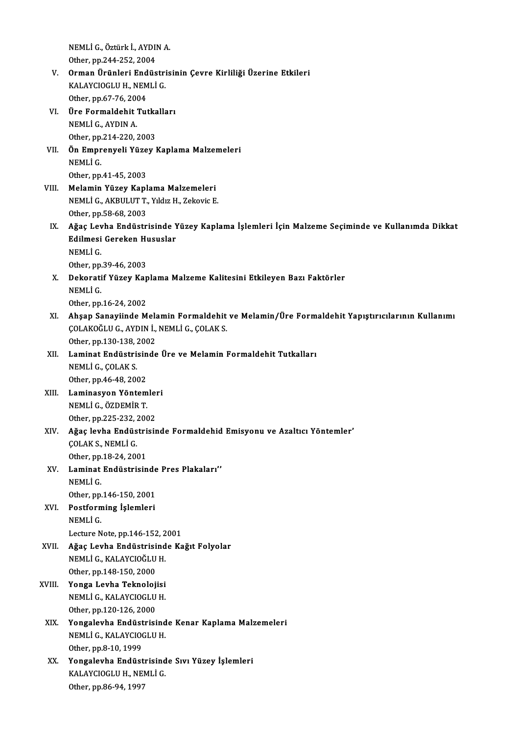NEMLİ G., Öztürk İ., AYDIN A.<br>Otber pr 244 252 2004 NEMLİ G., Öztürk İ., AYDII<br>Other, pp.244-252, 2004<br>Ouman Ününleri Endüa

- NEMLİ G., Öztürk İ., AYDIN A.<br>Other, pp.244-252, 2004<br>V. Orman Ürünleri Endüstrisinin Çevre Kirliliği Üzerine Etkileri<br>KALAYCIQCLU H. NEMLİ C Other, pp.244-252, 2004<br>Orman Ürünleri Endüstri<br>KALAYCIOGLU H., NEMLİ G.<br>Other nn 67.76, 2004 Orman Ürünleri End<br>KALAYCIOGLU H., NEM<br>Other, pp.67-76, 2004<br>Üre Fermaldebit Tut KALAYCIOGLU H., NEMLİ G.<br>Other, pp.67-76, 2004<br>VI. Üre Formaldehit Tutkalları<br>NEMLİ C. AYDIN A
- Other, pp.67-76, 200<br>Üre Formaldehit<br>NEMLİ G., AYDIN A.<br>Other pp.214, 220, 2 Üre Formaldehit Tutka<br>NEMLİ G., AYDIN A.<br>Other, pp.214-220, 2003<br>Ön Emnronyoli Vüzey l
- NEMLİ G., AYDIN A.<br>Other, pp.214-220, 2003<br>VII. Ön Emprenyeli Yüzey Kaplama Malzemeleri<br>NEMLİ C Other, pp.<br>**Ön Empr**<br>NEMLİ G.<br>Other pp. Ön Emprenyeli Yüze<br>NEMLİ G.<br>Other, pp.41-45, 2003<br>Melamin Yüzev Kanl NEMLİ G.<br>Other, pp.41-45, 2003<br>VIII. Melamin Yüzey Kaplama Malzemeleri
- NEMLİ G., AKBULUT T., Yıldız H., Zekovic E. Other,pp.58-68,2003
- NEMLİ G., AKBULUT T., Yıldız H., Zekovic E.<br>Other, pp.58-68, 2003<br>IX. Ağaç Levha Endüstrisinde Yüzey Kaplama İşlemleri İçin Malzeme Seçiminde ve Kullanımda Dikkat<br>Edilmesi Capakan Huquelar Other, pp.58-68, 2003<br>Ağaç Levha Endüstrisinde Y<br>Edilmesi Gereken Hususlar<br>NEMLİ.C Ağaç Lev<br>Edilmesi<br>NEMLİ G.<br>Otber nn Edilmesi Gereken Hususlar<br>NEMLİ G.<br>Other, pp.39-46, 2003

NEMLİ G.<br>Other, pp.39-46, 2003<br>X. Dekoratif Yüzey Kaplama Malzeme Kalitesini Etkileyen Bazı Faktörler<br>NEMLİ G Other, pp.<br>Dekorati<br>NEMLİ G.<br>Other nn Dekoratif Yüzey Kap<br>NEMLİ G.<br>Other, pp.16-24, 2002<br>Absan Sanaviinde M

- NEMLİ G.<br>Other, pp.16-24, 2002<br>XI. Ahşap Sanayiinde Melamin Formaldehit ve Melamin/Üre Formaldehit Yapıştırıcılarının Kullanımı Other, pp.16-24, 2002<br>Ahşap Sanayiinde Melamin Formaldehit<br>ÇOLAKOĞLU G., AYDIN İ., NEMLİ G., ÇOLAK S.<br>Other nn 120, 129, 2002 Ahşap Sanayiinde Mela<br>ÇOLAKOĞLU G., AYDIN İ.,<br>Other, pp.130-138, 2002<br>Laminat Endüstrisinde COLAKOĞLU G., AYDIN İ., NEMLİ G., ÇOLAK S.<br>Other, pp.130-138, 2002<br>XII. Laminat Endüstrisinde Üre ve Melamin Formaldehit Tutkalları<br>NEMLİ G. COLAK S
- Other, pp.130-138, 2002<br>Laminat Endüstrisind<br>NEMLİ G., ÇOLAK S.<br>Other, pp.46-48, 2002 Laminat Endüstrisin<br>NEMLİ G., ÇOLAK S.<br>Other, pp.46-48, 2002<br>Laminasyon Vöntom NEMLİ G., ÇOLAK S.<br>Other, pp.46-48, 2002<br>XIII. Laminasyon Yöntemleri<br>NEMLL G. ÖZDEMİR T
- NEMLİ G., ÖZDEMİR T.<br>Other, pp.225-232, 2002 Laminasyon Yöntemler<br>NEMLİ G., ÖZDEMİR T.<br>Other, pp.225-232, 2002<br>Ağas larka Endüstrisi:
- XIV. Ağaç levha Endüstrisinde Formaldehid Emisyonu ve Azaltıcı Yöntemler' ÇOLAK S., NEMLİ G. Ağaç levha Endüstri<br>ÇOLAK S., NEMLİ G.<br>Other, pp.18-24, 2001<br>Laminat Endüstricin COLAK S., NEMLİ G.<br>Other, pp.18-24, 2001<br>XV. Laminat Endüstrisinde Pres Plakaları'<br>NEMLİ C
- Other, pp.<br>Laminat<br>NEMLİ G.<br>Other nn Laminat Endüstrisinde<br>NEMLİ G.<br>Other, pp.146-150, 2001<br>Postforming İslamları 0ther, pp.146-150, 2001
- NEMLİ G.<br>Other, pp.146-150, 2001<br>XVI. Postforming İşlemleri<br>NEMLİ G. Lecture Note, pp.146-152, 2001
- XVII. Ağaç Levha Endüstrisinde Kağıt Folyolar Lecture Note, pp.146-152, 2<br><mark>Ağaç Levha Endüstrisind</mark><br>NEMLİ G., KALAYCIOĞLU H.<br>Otber np.149, 150, 2000 Ağaç Levha Endüstrisi<br>NEMLİ G., KALAYCIOĞLU<br>Other, pp.148-150, 2000<br>Yonga Lavha Taknalai NEMLİ G., KALAYCIOĞLU H.<br>Other, pp.148-150, 2000<br>XVIII. Yonga Levha Teknolojisi
- Other, pp.148-150, 2000<br>**Yonga Levha Teknolojisi**<br>NEMLİ G., KALAYCIOGLU H.<br>Other np.120, 126, 2000 Yonga Levha Teknoloj<br>NEMLİ G., KALAYCIOGLU<br>Other, pp.120-126, 2000<br>Yongalayba Endüstrisi NEMLİ G., KALAYCIOGLU H.<br>Other, pp.120-126, 2000<br>XIX. Yongalevha Endüstrisinde Kenar Kaplama Malzemeleri
- Other, pp.120-126, 2000<br>**Yongalevha Endüstrisind**<br>NEMLİ G., KALAYCIOGLU H.<br>Other nn 8.10, 1999 Yongalevha Endüst<br>NEMLİ G., KALAYCIO<br>Other, pp.8-10, 1999<br>Yongalevha Endüst NEMLİ G., KALAYCIOGLU H.<br>Other, pp.8-10, 1999<br>XX. Yongalevha Endüstrisinde Sıvı Yüzey İşlemleri<br>KALAYCIOCLU H. NEMLİ C
- Other, pp.8-10, 1999<br>**Yongalevha Endüstrisind<br>KALAYCIOGLU H., NEMLİ G.**<br>Other np.86.94, 1997 Yongalevha Endüst:<br>KALAYCIOGLU H., NEI<br>Other, pp.86-94, 1997